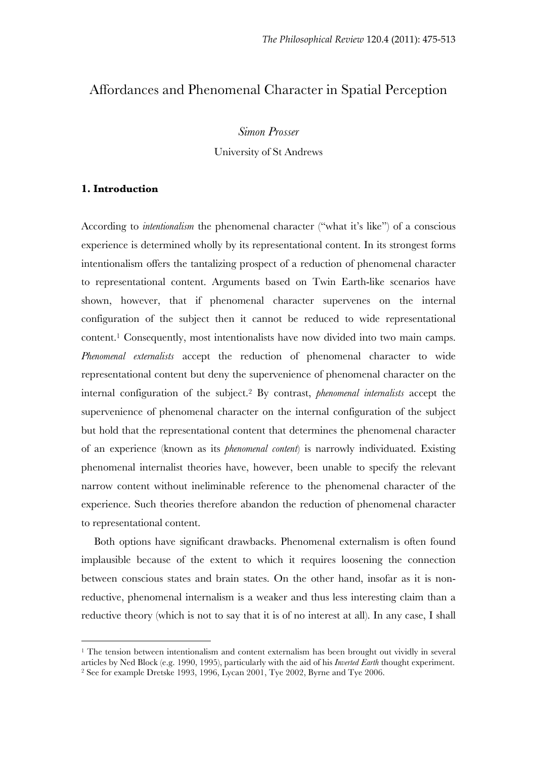# Affordances and Phenomenal Character in Spatial Perception

#### *Simon Prosser*

University of St Andrews

## **1. Introduction**

 $\overline{a}$ 

According to *intentionalism* the phenomenal character ("what it's like") of a conscious experience is determined wholly by its representational content. In its strongest forms intentionalism offers the tantalizing prospect of a reduction of phenomenal character to representational content. Arguments based on Twin Earth-like scenarios have shown, however, that if phenomenal character supervenes on the internal configuration of the subject then it cannot be reduced to wide representational content.1 Consequently, most intentionalists have now divided into two main camps. *Phenomenal externalists* accept the reduction of phenomenal character to wide representational content but deny the supervenience of phenomenal character on the internal configuration of the subject.2 By contrast, *phenomenal internalists* accept the supervenience of phenomenal character on the internal configuration of the subject but hold that the representational content that determines the phenomenal character of an experience (known as its *phenomenal content*) is narrowly individuated. Existing phenomenal internalist theories have, however, been unable to specify the relevant narrow content without ineliminable reference to the phenomenal character of the experience. Such theories therefore abandon the reduction of phenomenal character to representational content.

Both options have significant drawbacks. Phenomenal externalism is often found implausible because of the extent to which it requires loosening the connection between conscious states and brain states. On the other hand, insofar as it is nonreductive, phenomenal internalism is a weaker and thus less interesting claim than a reductive theory (which is not to say that it is of no interest at all). In any case, I shall

 $1$ . The tension between intentionalism and content externalism has been brought out vividly in several articles by Ned Block (e.g. 1990, 1995), particularly with the aid of his *Inverted Earth* thought experiment. <sup>2</sup> See for example Dretske 1993, 1996, Lycan 2001, Tye 2002, Byrne and Tye 2006.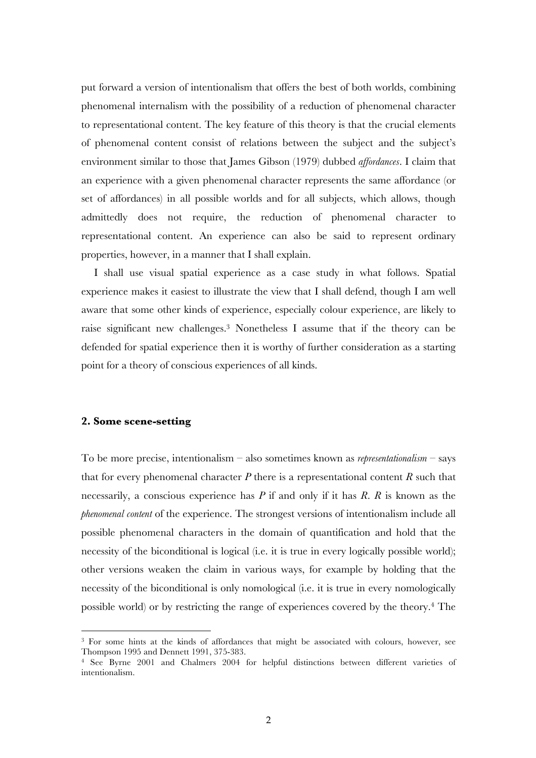put forward a version of intentionalism that offers the best of both worlds, combining phenomenal internalism with the possibility of a reduction of phenomenal character to representational content. The key feature of this theory is that the crucial elements of phenomenal content consist of relations between the subject and the subject's environment similar to those that James Gibson (1979) dubbed *affordances*. I claim that an experience with a given phenomenal character represents the same affordance (or set of affordances) in all possible worlds and for all subjects, which allows, though admittedly does not require, the reduction of phenomenal character to representational content. An experience can also be said to represent ordinary properties, however, in a manner that I shall explain.

I shall use visual spatial experience as a case study in what follows. Spatial experience makes it easiest to illustrate the view that I shall defend, though I am well aware that some other kinds of experience, especially colour experience, are likely to raise significant new challenges.3 Nonetheless I assume that if the theory can be defended for spatial experience then it is worthy of further consideration as a starting point for a theory of conscious experiences of all kinds.

#### **2. Some scene-setting**

 $\overline{a}$ 

To be more precise, intentionalism – also sometimes known as *representationalism* – says that for every phenomenal character  $P$  there is a representational content  $R$  such that necessarily, a conscious experience has *P* if and only if it has *R*. *R* is known as the *phenomenal content* of the experience. The strongest versions of intentionalism include all possible phenomenal characters in the domain of quantification and hold that the necessity of the biconditional is logical (i.e. it is true in every logically possible world); other versions weaken the claim in various ways, for example by holding that the necessity of the biconditional is only nomological (i.e. it is true in every nomologically possible world) or by restricting the range of experiences covered by the theory.4 The

<sup>3</sup> For some hints at the kinds of affordances that might be associated with colours, however, see Thompson 1995 and Dennett 1991, 375-383.

<sup>4</sup> See Byrne 2001 and Chalmers 2004 for helpful distinctions between different varieties of intentionalism.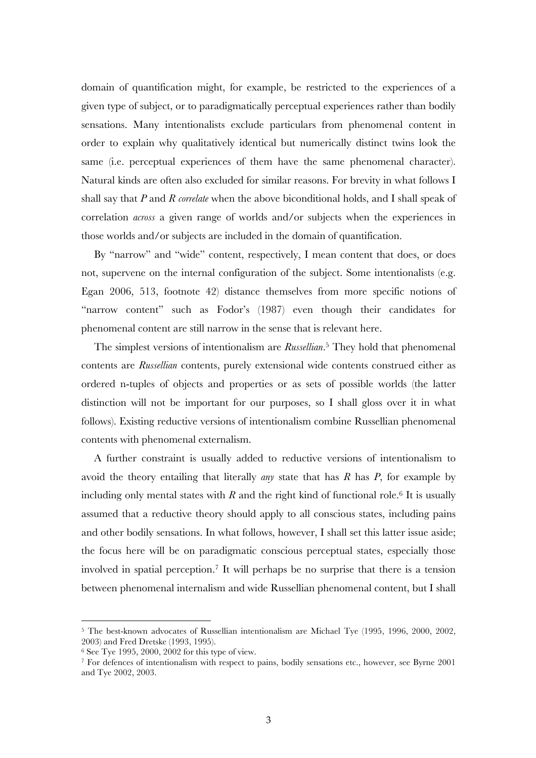domain of quantification might, for example, be restricted to the experiences of a given type of subject, or to paradigmatically perceptual experiences rather than bodily sensations. Many intentionalists exclude particulars from phenomenal content in order to explain why qualitatively identical but numerically distinct twins look the same (i.e. perceptual experiences of them have the same phenomenal character). Natural kinds are often also excluded for similar reasons. For brevity in what follows I shall say that *P* and *R correlate* when the above biconditional holds, and I shall speak of correlation *across* a given range of worlds and/or subjects when the experiences in those worlds and/or subjects are included in the domain of quantification.

By "narrow" and "wide" content, respectively, I mean content that does, or does not, supervene on the internal configuration of the subject. Some intentionalists (e.g. Egan 2006, 513, footnote 42) distance themselves from more specific notions of "narrow content" such as Fodor's (1987) even though their candidates for phenomenal content are still narrow in the sense that is relevant here.

The simplest versions of intentionalism are *Russellian*. <sup>5</sup> They hold that phenomenal contents are *Russellian* contents, purely extensional wide contents construed either as ordered n-tuples of objects and properties or as sets of possible worlds (the latter distinction will not be important for our purposes, so I shall gloss over it in what follows). Existing reductive versions of intentionalism combine Russellian phenomenal contents with phenomenal externalism.

A further constraint is usually added to reductive versions of intentionalism to avoid the theory entailing that literally *any* state that has *R* has *P*, for example by including only mental states with  $R$  and the right kind of functional role.<sup>6</sup> It is usually assumed that a reductive theory should apply to all conscious states, including pains and other bodily sensations. In what follows, however, I shall set this latter issue aside; the focus here will be on paradigmatic conscious perceptual states, especially those involved in spatial perception.7 It will perhaps be no surprise that there is a tension between phenomenal internalism and wide Russellian phenomenal content, but I shall

<sup>5</sup> The best-known advocates of Russellian intentionalism are Michael Tye (1995, 1996, 2000, 2002, 2003) and Fred Dretske (1993, 1995).

 $6$  See Tye 1995, 2000, 2002 for this type of view.

<sup>7</sup> For defences of intentionalism with respect to pains, bodily sensations etc., however, see Byrne 2001 and Tye 2002, 2003.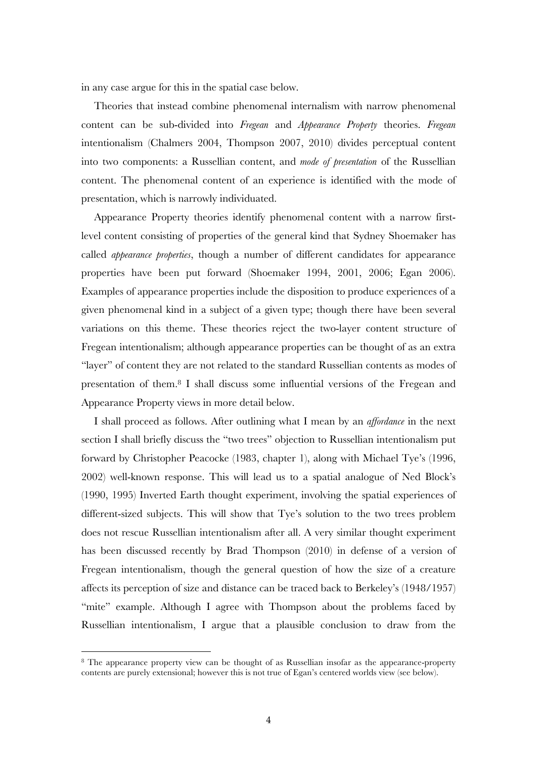in any case argue for this in the spatial case below.

Theories that instead combine phenomenal internalism with narrow phenomenal content can be sub-divided into *Fregean* and *Appearance Property* theories. *Fregean* intentionalism (Chalmers 2004, Thompson 2007, 2010) divides perceptual content into two components: a Russellian content, and *mode of presentation* of the Russellian content. The phenomenal content of an experience is identified with the mode of presentation, which is narrowly individuated.

Appearance Property theories identify phenomenal content with a narrow firstlevel content consisting of properties of the general kind that Sydney Shoemaker has called *appearance properties*, though a number of different candidates for appearance properties have been put forward (Shoemaker 1994, 2001, 2006; Egan 2006). Examples of appearance properties include the disposition to produce experiences of a given phenomenal kind in a subject of a given type; though there have been several variations on this theme. These theories reject the two-layer content structure of Fregean intentionalism; although appearance properties can be thought of as an extra "layer" of content they are not related to the standard Russellian contents as modes of presentation of them.8 I shall discuss some influential versions of the Fregean and Appearance Property views in more detail below.

I shall proceed as follows. After outlining what I mean by an *affordance* in the next section I shall briefly discuss the "two trees" objection to Russellian intentionalism put forward by Christopher Peacocke (1983, chapter 1), along with Michael Tye's (1996, 2002) well-known response. This will lead us to a spatial analogue of Ned Block's (1990, 1995) Inverted Earth thought experiment, involving the spatial experiences of different-sized subjects. This will show that Tye's solution to the two trees problem does not rescue Russellian intentionalism after all. A very similar thought experiment has been discussed recently by Brad Thompson (2010) in defense of a version of Fregean intentionalism, though the general question of how the size of a creature affects its perception of size and distance can be traced back to Berkeley's (1948/1957) "mite" example. Although I agree with Thompson about the problems faced by Russellian intentionalism, I argue that a plausible conclusion to draw from the

l

<sup>8</sup> The appearance property view can be thought of as Russellian insofar as the appearance-property contents are purely extensional; however this is not true of Egan's centered worlds view (see below).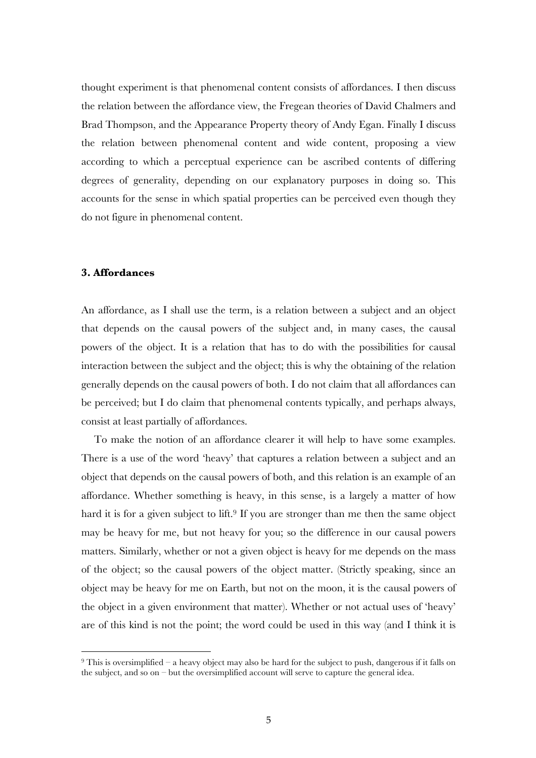thought experiment is that phenomenal content consists of affordances. I then discuss the relation between the affordance view, the Fregean theories of David Chalmers and Brad Thompson, and the Appearance Property theory of Andy Egan. Finally I discuss the relation between phenomenal content and wide content, proposing a view according to which a perceptual experience can be ascribed contents of differing degrees of generality, depending on our explanatory purposes in doing so. This accounts for the sense in which spatial properties can be perceived even though they do not figure in phenomenal content.

## **3. Affordances**

l

An affordance, as I shall use the term, is a relation between a subject and an object that depends on the causal powers of the subject and, in many cases, the causal powers of the object. It is a relation that has to do with the possibilities for causal interaction between the subject and the object; this is why the obtaining of the relation generally depends on the causal powers of both. I do not claim that all affordances can be perceived; but I do claim that phenomenal contents typically, and perhaps always, consist at least partially of affordances.

To make the notion of an affordance clearer it will help to have some examples. There is a use of the word 'heavy' that captures a relation between a subject and an object that depends on the causal powers of both, and this relation is an example of an affordance. Whether something is heavy, in this sense, is a largely a matter of how hard it is for a given subject to lift.<sup>9</sup> If you are stronger than me then the same object may be heavy for me, but not heavy for you; so the difference in our causal powers matters. Similarly, whether or not a given object is heavy for me depends on the mass of the object; so the causal powers of the object matter. (Strictly speaking, since an object may be heavy for me on Earth, but not on the moon, it is the causal powers of the object in a given environment that matter). Whether or not actual uses of 'heavy' are of this kind is not the point; the word could be used in this way (and I think it is

<sup>&</sup>lt;sup>9</sup> This is oversimplified – a heavy object may also be hard for the subject to push, dangerous if it falls on the subject, and so on – but the oversimplified account will serve to capture the general idea.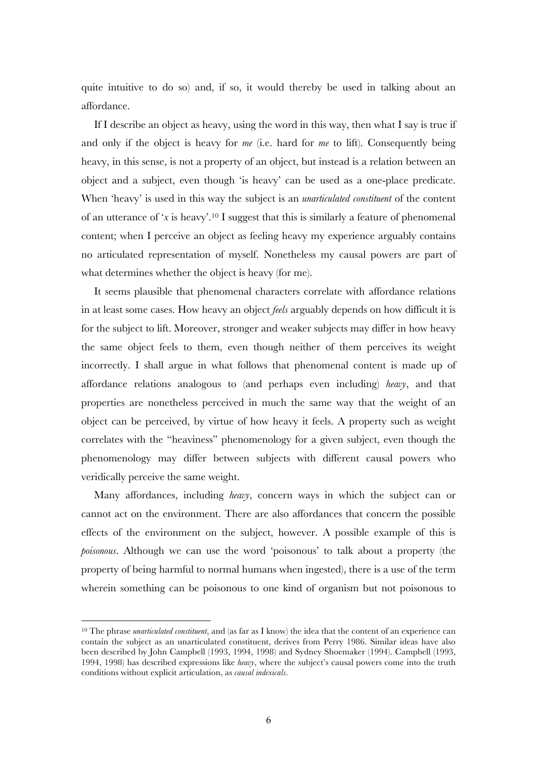quite intuitive to do so) and, if so, it would thereby be used in talking about an affordance.

If I describe an object as heavy, using the word in this way, then what I say is true if and only if the object is heavy for *me* (i.e. hard for *me* to lift). Consequently being heavy, in this sense, is not a property of an object, but instead is a relation between an object and a subject, even though 'is heavy' can be used as a one-place predicate. When 'heavy' is used in this way the subject is an *unarticulated constituent* of the content of an utterance of 'x is heavy'.<sup>10</sup> I suggest that this is similarly a feature of phenomenal content; when I perceive an object as feeling heavy my experience arguably contains no articulated representation of myself. Nonetheless my causal powers are part of what determines whether the object is heavy (for me).

It seems plausible that phenomenal characters correlate with affordance relations in at least some cases. How heavy an object *feels* arguably depends on how difficult it is for the subject to lift. Moreover, stronger and weaker subjects may differ in how heavy the same object feels to them, even though neither of them perceives its weight incorrectly. I shall argue in what follows that phenomenal content is made up of affordance relations analogous to (and perhaps even including) *heavy*, and that properties are nonetheless perceived in much the same way that the weight of an object can be perceived, by virtue of how heavy it feels. A property such as weight correlates with the "heaviness" phenomenology for a given subject, even though the phenomenology may differ between subjects with different causal powers who veridically perceive the same weight.

Many affordances, including *heavy*, concern ways in which the subject can or cannot act on the environment. There are also affordances that concern the possible effects of the environment on the subject, however. A possible example of this is *poisonous*. Although we can use the word 'poisonous' to talk about a property (the property of being harmful to normal humans when ingested), there is a use of the term wherein something can be poisonous to one kind of organism but not poisonous to

<sup>10</sup> The phrase *unarticulated constituent*, and (as far as I know) the idea that the content of an experience can contain the subject as an unarticulated constituent, derives from Perry 1986. Similar ideas have also been described by John Campbell (1993, 1994, 1998) and Sydney Shoemaker (1994). Campbell (1993, 1994, 1998) has described expressions like *heavy*, where the subject's causal powers come into the truth conditions without explicit articulation, as *causal indexicals*.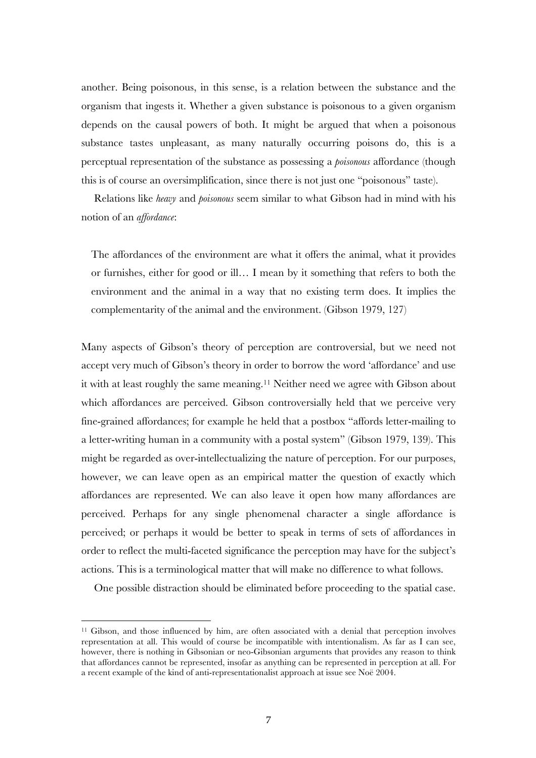another. Being poisonous, in this sense, is a relation between the substance and the organism that ingests it. Whether a given substance is poisonous to a given organism depends on the causal powers of both. It might be argued that when a poisonous substance tastes unpleasant, as many naturally occurring poisons do, this is a perceptual representation of the substance as possessing a *poisonous* affordance (though this is of course an oversimplification, since there is not just one "poisonous" taste).

Relations like *heavy* and *poisonous* seem similar to what Gibson had in mind with his notion of an *affordance*:

The affordances of the environment are what it offers the animal, what it provides or furnishes, either for good or ill… I mean by it something that refers to both the environment and the animal in a way that no existing term does. It implies the complementarity of the animal and the environment. (Gibson 1979, 127)

Many aspects of Gibson's theory of perception are controversial, but we need not accept very much of Gibson's theory in order to borrow the word 'affordance' and use it with at least roughly the same meaning.11 Neither need we agree with Gibson about which affordances are perceived. Gibson controversially held that we perceive very fine-grained affordances; for example he held that a postbox "affords letter-mailing to a letter-writing human in a community with a postal system" (Gibson 1979, 139). This might be regarded as over-intellectualizing the nature of perception. For our purposes, however, we can leave open as an empirical matter the question of exactly which affordances are represented. We can also leave it open how many affordances are perceived. Perhaps for any single phenomenal character a single affordance is perceived; or perhaps it would be better to speak in terms of sets of affordances in order to reflect the multi-faceted significance the perception may have for the subject's actions. This is a terminological matter that will make no difference to what follows.

One possible distraction should be eliminated before proceeding to the spatial case.

<sup>&</sup>lt;sup>11</sup> Gibson, and those influenced by him, are often associated with a denial that perception involves representation at all. This would of course be incompatible with intentionalism. As far as I can see, however, there is nothing in Gibsonian or neo-Gibsonian arguments that provides any reason to think that affordances cannot be represented, insofar as anything can be represented in perception at all. For a recent example of the kind of anti-representationalist approach at issue see Noë 2004.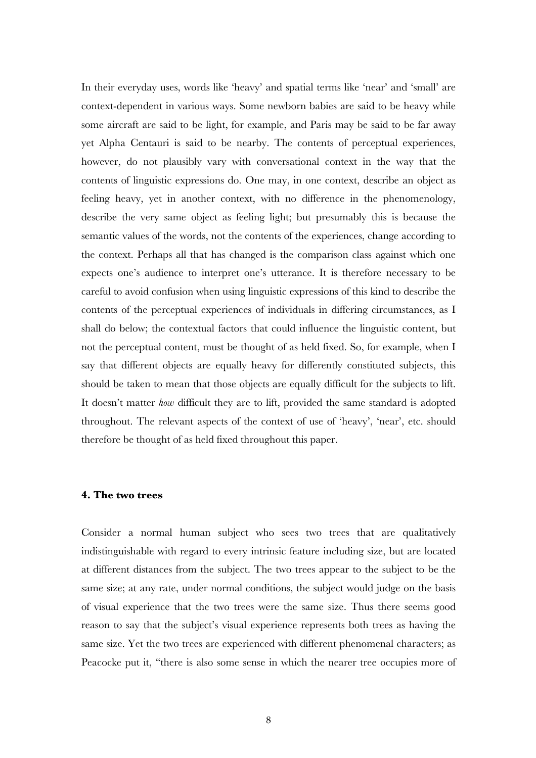In their everyday uses, words like 'heavy' and spatial terms like 'near' and 'small' are context-dependent in various ways. Some newborn babies are said to be heavy while some aircraft are said to be light, for example, and Paris may be said to be far away yet Alpha Centauri is said to be nearby. The contents of perceptual experiences, however, do not plausibly vary with conversational context in the way that the contents of linguistic expressions do. One may, in one context, describe an object as feeling heavy, yet in another context, with no difference in the phenomenology, describe the very same object as feeling light; but presumably this is because the semantic values of the words, not the contents of the experiences, change according to the context. Perhaps all that has changed is the comparison class against which one expects one's audience to interpret one's utterance. It is therefore necessary to be careful to avoid confusion when using linguistic expressions of this kind to describe the contents of the perceptual experiences of individuals in differing circumstances, as I shall do below; the contextual factors that could influence the linguistic content, but not the perceptual content, must be thought of as held fixed. So, for example, when I say that different objects are equally heavy for differently constituted subjects, this should be taken to mean that those objects are equally difficult for the subjects to lift. It doesn't matter *how* difficult they are to lift, provided the same standard is adopted throughout. The relevant aspects of the context of use of 'heavy', 'near', etc. should therefore be thought of as held fixed throughout this paper.

#### **4. The two trees**

Consider a normal human subject who sees two trees that are qualitatively indistinguishable with regard to every intrinsic feature including size, but are located at different distances from the subject. The two trees appear to the subject to be the same size; at any rate, under normal conditions, the subject would judge on the basis of visual experience that the two trees were the same size. Thus there seems good reason to say that the subject's visual experience represents both trees as having the same size. Yet the two trees are experienced with different phenomenal characters; as Peacocke put it, "there is also some sense in which the nearer tree occupies more of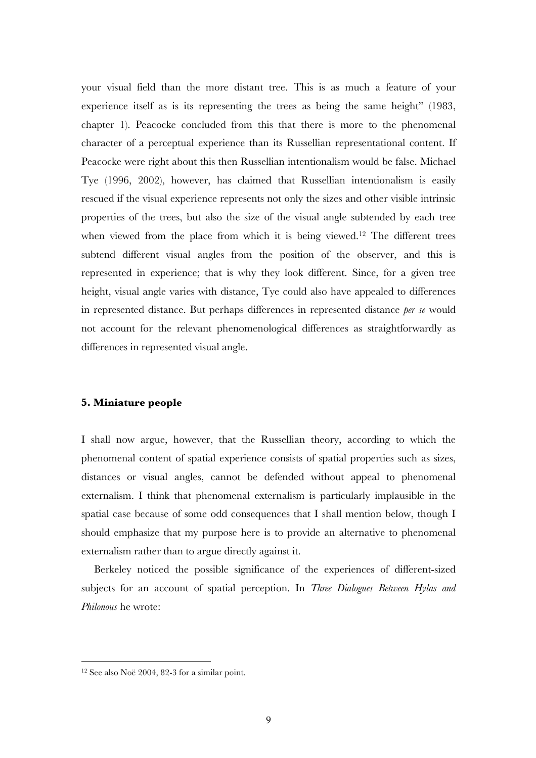your visual field than the more distant tree. This is as much a feature of your experience itself as is its representing the trees as being the same height" (1983, chapter 1). Peacocke concluded from this that there is more to the phenomenal character of a perceptual experience than its Russellian representational content. If Peacocke were right about this then Russellian intentionalism would be false. Michael Tye (1996, 2002), however, has claimed that Russellian intentionalism is easily rescued if the visual experience represents not only the sizes and other visible intrinsic properties of the trees, but also the size of the visual angle subtended by each tree when viewed from the place from which it is being viewed.<sup>12</sup> The different trees subtend different visual angles from the position of the observer, and this is represented in experience; that is why they look different. Since, for a given tree height, visual angle varies with distance, Tye could also have appealed to differences in represented distance. But perhaps differences in represented distance *per se* would not account for the relevant phenomenological differences as straightforwardly as differences in represented visual angle.

## **5. Miniature people**

I shall now argue, however, that the Russellian theory, according to which the phenomenal content of spatial experience consists of spatial properties such as sizes, distances or visual angles, cannot be defended without appeal to phenomenal externalism. I think that phenomenal externalism is particularly implausible in the spatial case because of some odd consequences that I shall mention below, though I should emphasize that my purpose here is to provide an alternative to phenomenal externalism rather than to argue directly against it.

Berkeley noticed the possible significance of the experiences of different-sized subjects for an account of spatial perception. In *Three Dialogues Between Hylas and Philonous* he wrote:

l

<sup>12</sup> See also Noë 2004, 82-3 for a similar point.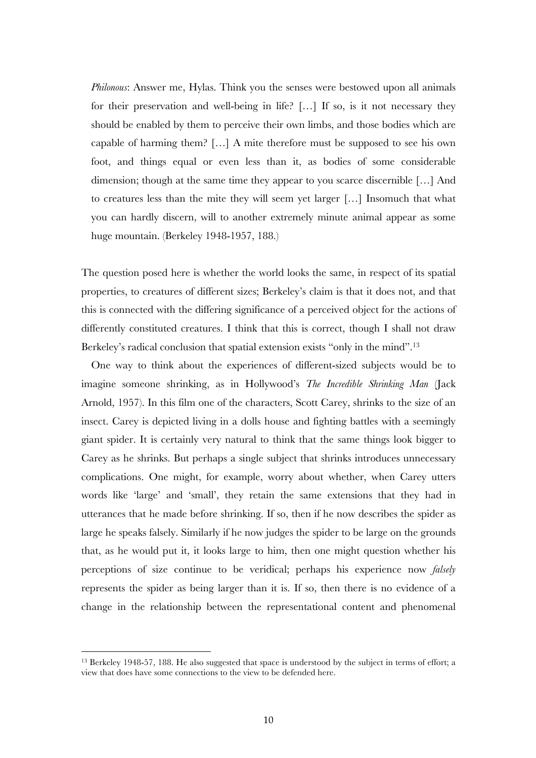*Philonous*: Answer me, Hylas. Think you the senses were bestowed upon all animals for their preservation and well-being in life? […] If so, is it not necessary they should be enabled by them to perceive their own limbs, and those bodies which are capable of harming them? […] A mite therefore must be supposed to see his own foot, and things equal or even less than it, as bodies of some considerable dimension; though at the same time they appear to you scarce discernible […] And to creatures less than the mite they will seem yet larger […] Insomuch that what you can hardly discern, will to another extremely minute animal appear as some huge mountain. (Berkeley 1948-1957, 188.)

The question posed here is whether the world looks the same, in respect of its spatial properties, to creatures of different sizes; Berkeley's claim is that it does not, and that this is connected with the differing significance of a perceived object for the actions of differently constituted creatures. I think that this is correct, though I shall not draw Berkeley's radical conclusion that spatial extension exists "only in the mind".<sup>13</sup>

One way to think about the experiences of different-sized subjects would be to imagine someone shrinking, as in Hollywood's *The Incredible Shrinking Man* (Jack Arnold, 1957). In this film one of the characters, Scott Carey, shrinks to the size of an insect. Carey is depicted living in a dolls house and fighting battles with a seemingly giant spider. It is certainly very natural to think that the same things look bigger to Carey as he shrinks. But perhaps a single subject that shrinks introduces unnecessary complications. One might, for example, worry about whether, when Carey utters words like 'large' and 'small', they retain the same extensions that they had in utterances that he made before shrinking. If so, then if he now describes the spider as large he speaks falsely. Similarly if he now judges the spider to be large on the grounds that, as he would put it, it looks large to him, then one might question whether his perceptions of size continue to be veridical; perhaps his experience now *falsely* represents the spider as being larger than it is. If so, then there is no evidence of a change in the relationship between the representational content and phenomenal

l

<sup>&</sup>lt;sup>13</sup> Berkeley 1948-57, 188. He also suggested that space is understood by the subject in terms of effort; a view that does have some connections to the view to be defended here.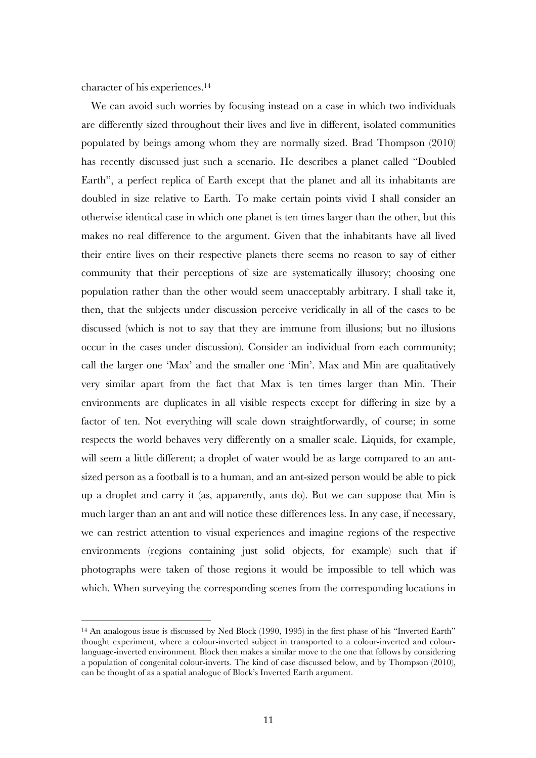character of his experiences.14

 $\overline{a}$ 

We can avoid such worries by focusing instead on a case in which two individuals are differently sized throughout their lives and live in different, isolated communities populated by beings among whom they are normally sized. Brad Thompson (2010) has recently discussed just such a scenario. He describes a planet called "Doubled Earth", a perfect replica of Earth except that the planet and all its inhabitants are doubled in size relative to Earth. To make certain points vivid I shall consider an otherwise identical case in which one planet is ten times larger than the other, but this makes no real difference to the argument. Given that the inhabitants have all lived their entire lives on their respective planets there seems no reason to say of either community that their perceptions of size are systematically illusory; choosing one population rather than the other would seem unacceptably arbitrary. I shall take it, then, that the subjects under discussion perceive veridically in all of the cases to be discussed (which is not to say that they are immune from illusions; but no illusions occur in the cases under discussion). Consider an individual from each community; call the larger one 'Max' and the smaller one 'Min'. Max and Min are qualitatively very similar apart from the fact that Max is ten times larger than Min. Their environments are duplicates in all visible respects except for differing in size by a factor of ten. Not everything will scale down straightforwardly, of course; in some respects the world behaves very differently on a smaller scale. Liquids, for example, will seem a little different; a droplet of water would be as large compared to an antsized person as a football is to a human, and an ant-sized person would be able to pick up a droplet and carry it (as, apparently, ants do). But we can suppose that Min is much larger than an ant and will notice these differences less. In any case, if necessary, we can restrict attention to visual experiences and imagine regions of the respective environments (regions containing just solid objects, for example) such that if photographs were taken of those regions it would be impossible to tell which was which. When surveying the corresponding scenes from the corresponding locations in

<sup>14</sup> An analogous issue is discussed by Ned Block (1990, 1995) in the first phase of his "Inverted Earth" thought experiment, where a colour-inverted subject in transported to a colour-inverted and colourlanguage-inverted environment. Block then makes a similar move to the one that follows by considering a population of congenital colour-inverts. The kind of case discussed below, and by Thompson (2010), can be thought of as a spatial analogue of Block's Inverted Earth argument.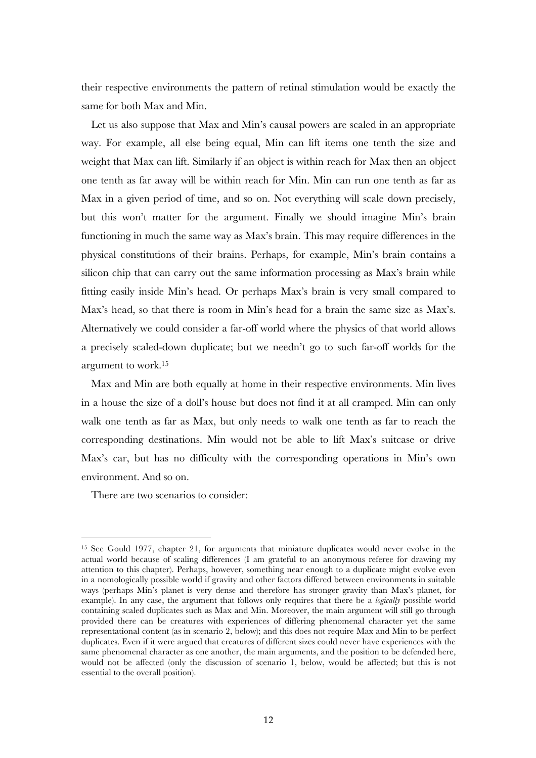their respective environments the pattern of retinal stimulation would be exactly the same for both Max and Min.

Let us also suppose that Max and Min's causal powers are scaled in an appropriate way. For example, all else being equal, Min can lift items one tenth the size and weight that Max can lift. Similarly if an object is within reach for Max then an object one tenth as far away will be within reach for Min. Min can run one tenth as far as Max in a given period of time, and so on. Not everything will scale down precisely, but this won't matter for the argument. Finally we should imagine Min's brain functioning in much the same way as Max's brain. This may require differences in the physical constitutions of their brains. Perhaps, for example, Min's brain contains a silicon chip that can carry out the same information processing as Max's brain while fitting easily inside Min's head. Or perhaps Max's brain is very small compared to Max's head, so that there is room in Min's head for a brain the same size as Max's. Alternatively we could consider a far-off world where the physics of that world allows a precisely scaled-down duplicate; but we needn't go to such far-off worlds for the argument to work.15

Max and Min are both equally at home in their respective environments. Min lives in a house the size of a doll's house but does not find it at all cramped. Min can only walk one tenth as far as Max, but only needs to walk one tenth as far to reach the corresponding destinations. Min would not be able to lift Max's suitcase or drive Max's car, but has no difficulty with the corresponding operations in Min's own environment. And so on.

There are two scenarios to consider:

<sup>15</sup> See Gould 1977, chapter 21, for arguments that miniature duplicates would never evolve in the actual world because of scaling differences (I am grateful to an anonymous referee for drawing my attention to this chapter). Perhaps, however, something near enough to a duplicate might evolve even in a nomologically possible world if gravity and other factors differed between environments in suitable ways (perhaps Min's planet is very dense and therefore has stronger gravity than Max's planet, for example). In any case, the argument that follows only requires that there be a *logically* possible world containing scaled duplicates such as Max and Min. Moreover, the main argument will still go through provided there can be creatures with experiences of differing phenomenal character yet the same representational content (as in scenario 2, below); and this does not require Max and Min to be perfect duplicates. Even if it were argued that creatures of different sizes could never have experiences with the same phenomenal character as one another, the main arguments, and the position to be defended here, would not be affected (only the discussion of scenario 1, below, would be affected; but this is not essential to the overall position).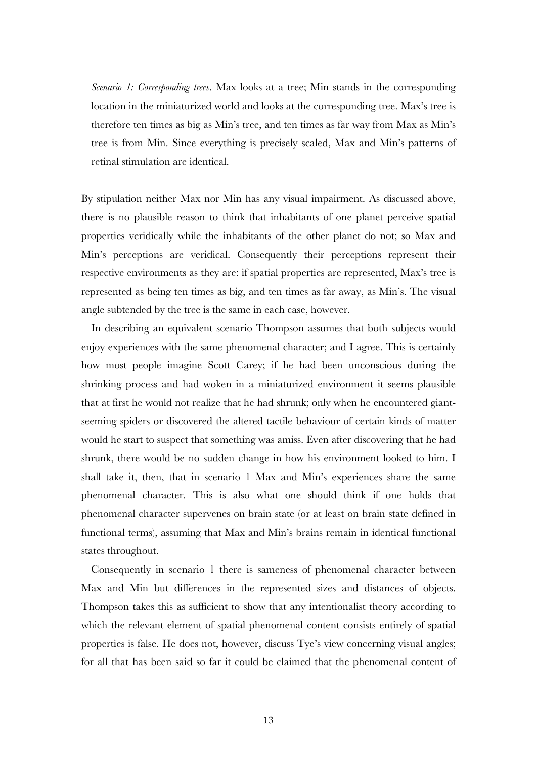*Scenario 1: Corresponding trees*. Max looks at a tree; Min stands in the corresponding location in the miniaturized world and looks at the corresponding tree. Max's tree is therefore ten times as big as Min's tree, and ten times as far way from Max as Min's tree is from Min. Since everything is precisely scaled, Max and Min's patterns of retinal stimulation are identical.

By stipulation neither Max nor Min has any visual impairment. As discussed above, there is no plausible reason to think that inhabitants of one planet perceive spatial properties veridically while the inhabitants of the other planet do not; so Max and Min's perceptions are veridical. Consequently their perceptions represent their respective environments as they are: if spatial properties are represented, Max's tree is represented as being ten times as big, and ten times as far away, as Min's. The visual angle subtended by the tree is the same in each case, however.

In describing an equivalent scenario Thompson assumes that both subjects would enjoy experiences with the same phenomenal character; and I agree. This is certainly how most people imagine Scott Carey; if he had been unconscious during the shrinking process and had woken in a miniaturized environment it seems plausible that at first he would not realize that he had shrunk; only when he encountered giantseeming spiders or discovered the altered tactile behaviour of certain kinds of matter would he start to suspect that something was amiss. Even after discovering that he had shrunk, there would be no sudden change in how his environment looked to him. I shall take it, then, that in scenario 1 Max and Min's experiences share the same phenomenal character. This is also what one should think if one holds that phenomenal character supervenes on brain state (or at least on brain state defined in functional terms), assuming that Max and Min's brains remain in identical functional states throughout.

Consequently in scenario 1 there is sameness of phenomenal character between Max and Min but differences in the represented sizes and distances of objects. Thompson takes this as sufficient to show that any intentionalist theory according to which the relevant element of spatial phenomenal content consists entirely of spatial properties is false. He does not, however, discuss Tye's view concerning visual angles; for all that has been said so far it could be claimed that the phenomenal content of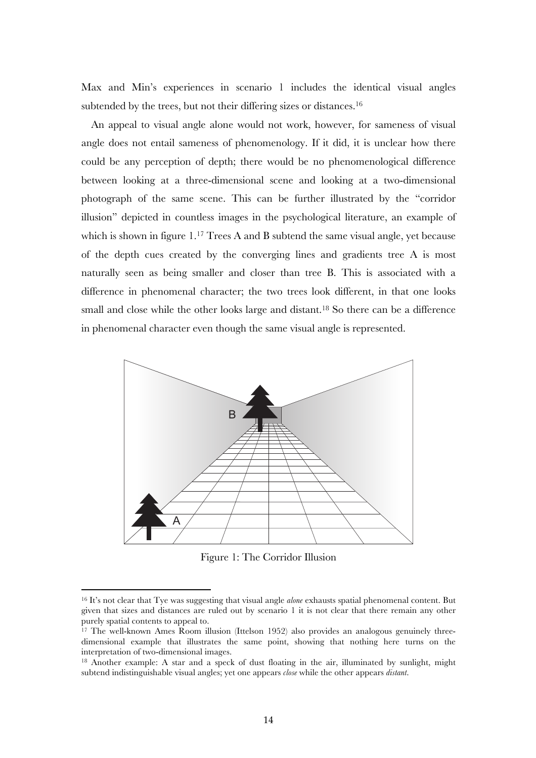Max and Min's experiences in scenario 1 includes the identical visual angles subtended by the trees, but not their differing sizes or distances.<sup>16</sup>

An appeal to visual angle alone would not work, however, for sameness of visual angle does not entail sameness of phenomenology. If it did, it is unclear how there could be any perception of depth; there would be no phenomenological difference between looking at a three-dimensional scene and looking at a two-dimensional photograph of the same scene. This can be further illustrated by the "corridor illusion" depicted in countless images in the psychological literature, an example of which is shown in figure 1.<sup>17</sup> Trees A and B subtend the same visual angle, yet because of the depth cues created by the converging lines and gradients tree A is most naturally seen as being smaller and closer than tree B. This is associated with a difference in phenomenal character; the two trees look different, in that one looks small and close while the other looks large and distant.18 So there can be a difference in phenomenal character even though the same visual angle is represented.



Figure 1: The Corridor Illusion

<sup>16</sup> It's not clear that Tye was suggesting that visual angle *alone* exhausts spatial phenomenal content. But given that sizes and distances are ruled out by scenario 1 it is not clear that there remain any other purely spatial contents to appeal to.

<sup>17</sup> The well-known Ames Room illusion (Ittelson 1952) also provides an analogous genuinely threedimensional example that illustrates the same point, showing that nothing here turns on the interpretation of two-dimensional images.

<sup>18</sup> Another example: A star and a speck of dust floating in the air, illuminated by sunlight, might subtend indistinguishable visual angles; yet one appears *close* while the other appears *distant*.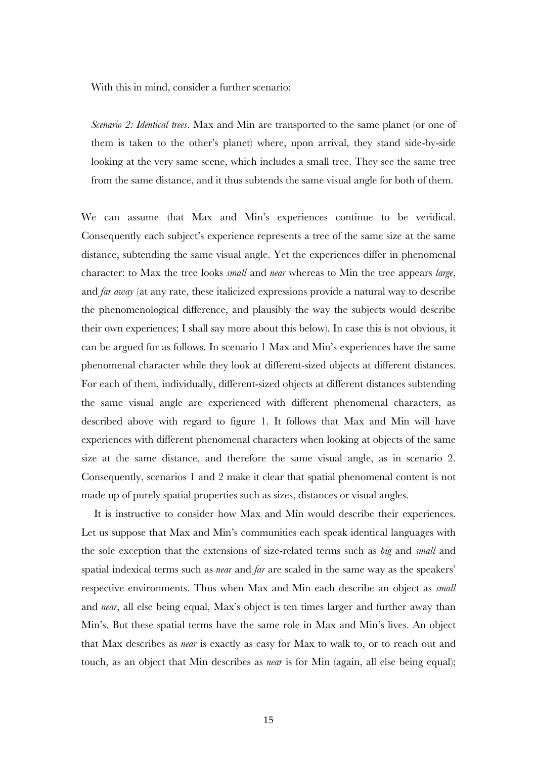With this in mind, consider a further scenario:

*Scenario 2: Identical trees*. Max and Min are transported to the same planet (or one of them is taken to the other's planet) where, upon arrival, they stand side-by-side looking at the very same scene, which includes a small tree. They see the same tree from the same distance, and it thus subtends the same visual angle for both of them.

We can assume that Max and Min's experiences continue to be veridical. Consequently each subject's experience represents a tree of the same size at the same distance, subtending the same visual angle. Yet the experiences differ in phenomenal character: to Max the tree looks *small* and *near* whereas to Min the tree appears *large*, and *far away* (at any rate, these italicized expressions provide a natural way to describe the phenomenological difference, and plausibly the way the subjects would describe their own experiences; I shall say more about this below). In case this is not obvious, it can be argued for as follows. In scenario 1 Max and Min's experiences have the same phenomenal character while they look at different-sized objects at different distances. For each of them, individually, different-sized objects at different distances subtending the same visual angle are experienced with different phenomenal characters, as described above with regard to figure 1. It follows that Max and Min will have experiences with different phenomenal characters when looking at objects of the same size at the same distance, and therefore the same visual angle, as in scenario 2. Consequently, scenarios 1 and 2 make it clear that spatial phenomenal content is not made up of purely spatial properties such as sizes, distances or visual angles.

It is instructive to consider how Max and Min would describe their experiences. Let us suppose that Max and Min's communities each speak identical languages with the sole exception that the extensions of size-related terms such as *big* and *small* and spatial indexical terms such as *near* and *far* are scaled in the same way as the speakers' respective environments. Thus when Max and Min each describe an object as *small* and *near*, all else being equal, Max's object is ten times larger and further away than Min's. But these spatial terms have the same role in Max and Min's lives. An object that Max describes as *near* is exactly as easy for Max to walk to, or to reach out and touch, as an object that Min describes as *near* is for Min (again, all else being equal);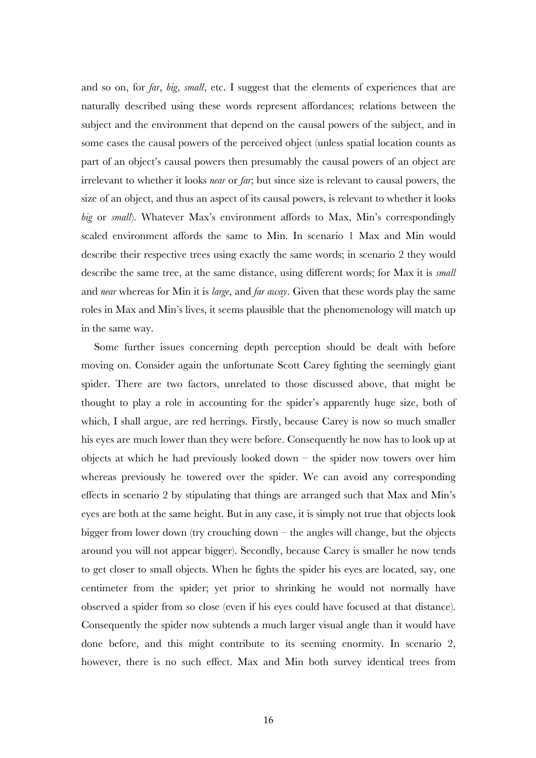and so on, for *far*, *big*, *small*, etc. I suggest that the elements of experiences that are naturally described using these words represent affordances; relations between the subject and the environment that depend on the causal powers of the subject, and in some cases the causal powers of the perceived object (unless spatial location counts as part of an object's causal powers then presumably the causal powers of an object are irrelevant to whether it looks *near* or *far*; but since size is relevant to causal powers, the size of an object, and thus an aspect of its causal powers, is relevant to whether it looks *big* or *small*). Whatever Max's environment affords to Max, Min's correspondingly scaled environment affords the same to Min. In scenario 1 Max and Min would describe their respective trees using exactly the same words; in scenario 2 they would describe the same tree, at the same distance, using different words; for Max it is *small* and *near* whereas for Min it is *large*, and *far away*. Given that these words play the same roles in Max and Min's lives, it seems plausible that the phenomenology will match up in the same way.

Some further issues concerning depth perception should be dealt with before moving on. Consider again the unfortunate Scott Carey fighting the seemingly giant spider. There are two factors, unrelated to those discussed above, that might be thought to play a role in accounting for the spider's apparently huge size, both of which, I shall argue, are red herrings. Firstly, because Carey is now so much smaller his eyes are much lower than they were before. Consequently he now has to look up at objects at which he had previously looked down – the spider now towers over him whereas previously he towered over the spider. We can avoid any corresponding effects in scenario 2 by stipulating that things are arranged such that Max and Min's eyes are both at the same height. But in any case, it is simply not true that objects look bigger from lower down (try crouching down  $-$  the angles will change, but the objects around you will not appear bigger). Secondly, because Carey is smaller he now tends to get closer to small objects. When he fights the spider his eyes are located, say, one centimeter from the spider; yet prior to shrinking he would not normally have observed a spider from so close (even if his eyes could have focused at that distance). Consequently the spider now subtends a much larger visual angle than it would have done before, and this might contribute to its seeming enormity. In scenario 2, however, there is no such effect. Max and Min both survey identical trees from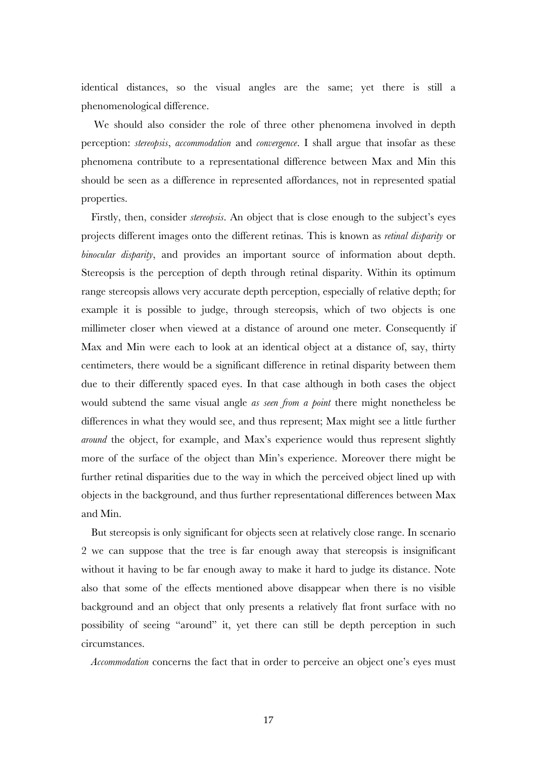identical distances, so the visual angles are the same; yet there is still a phenomenological difference.

We should also consider the role of three other phenomena involved in depth perception: *stereopsis*, *accommodation* and *convergence*. I shall argue that insofar as these phenomena contribute to a representational difference between Max and Min this should be seen as a difference in represented affordances, not in represented spatial properties.

Firstly, then, consider *stereopsis*. An object that is close enough to the subject's eyes projects different images onto the different retinas. This is known as *retinal disparity* or *binocular disparity*, and provides an important source of information about depth. Stereopsis is the perception of depth through retinal disparity. Within its optimum range stereopsis allows very accurate depth perception, especially of relative depth; for example it is possible to judge, through stereopsis, which of two objects is one millimeter closer when viewed at a distance of around one meter. Consequently if Max and Min were each to look at an identical object at a distance of, say, thirty centimeters, there would be a significant difference in retinal disparity between them due to their differently spaced eyes. In that case although in both cases the object would subtend the same visual angle *as seen from a point* there might nonetheless be differences in what they would see, and thus represent; Max might see a little further *around* the object, for example, and Max's experience would thus represent slightly more of the surface of the object than Min's experience. Moreover there might be further retinal disparities due to the way in which the perceived object lined up with objects in the background, and thus further representational differences between Max and Min.

But stereopsis is only significant for objects seen at relatively close range. In scenario 2 we can suppose that the tree is far enough away that stereopsis is insignificant without it having to be far enough away to make it hard to judge its distance. Note also that some of the effects mentioned above disappear when there is no visible background and an object that only presents a relatively flat front surface with no possibility of seeing "around" it, yet there can still be depth perception in such circumstances.

*Accommodation* concerns the fact that in order to perceive an object one's eyes must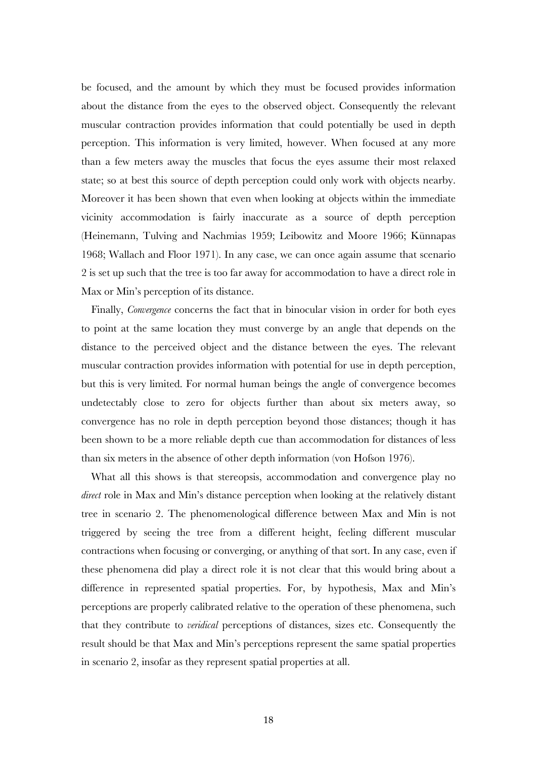be focused, and the amount by which they must be focused provides information about the distance from the eyes to the observed object. Consequently the relevant muscular contraction provides information that could potentially be used in depth perception. This information is very limited, however. When focused at any more than a few meters away the muscles that focus the eyes assume their most relaxed state; so at best this source of depth perception could only work with objects nearby. Moreover it has been shown that even when looking at objects within the immediate vicinity accommodation is fairly inaccurate as a source of depth perception (Heinemann, Tulving and Nachmias 1959; Leibowitz and Moore 1966; Künnapas 1968; Wallach and Floor 1971). In any case, we can once again assume that scenario 2 is set up such that the tree is too far away for accommodation to have a direct role in Max or Min's perception of its distance.

Finally, *Convergence* concerns the fact that in binocular vision in order for both eyes to point at the same location they must converge by an angle that depends on the distance to the perceived object and the distance between the eyes. The relevant muscular contraction provides information with potential for use in depth perception, but this is very limited. For normal human beings the angle of convergence becomes undetectably close to zero for objects further than about six meters away, so convergence has no role in depth perception beyond those distances; though it has been shown to be a more reliable depth cue than accommodation for distances of less than six meters in the absence of other depth information (von Hofson 1976).

What all this shows is that stereopsis, accommodation and convergence play no *direct* role in Max and Min's distance perception when looking at the relatively distant tree in scenario 2. The phenomenological difference between Max and Min is not triggered by seeing the tree from a different height, feeling different muscular contractions when focusing or converging, or anything of that sort. In any case, even if these phenomena did play a direct role it is not clear that this would bring about a difference in represented spatial properties. For, by hypothesis, Max and Min's perceptions are properly calibrated relative to the operation of these phenomena, such that they contribute to *veridical* perceptions of distances, sizes etc. Consequently the result should be that Max and Min's perceptions represent the same spatial properties in scenario 2, insofar as they represent spatial properties at all.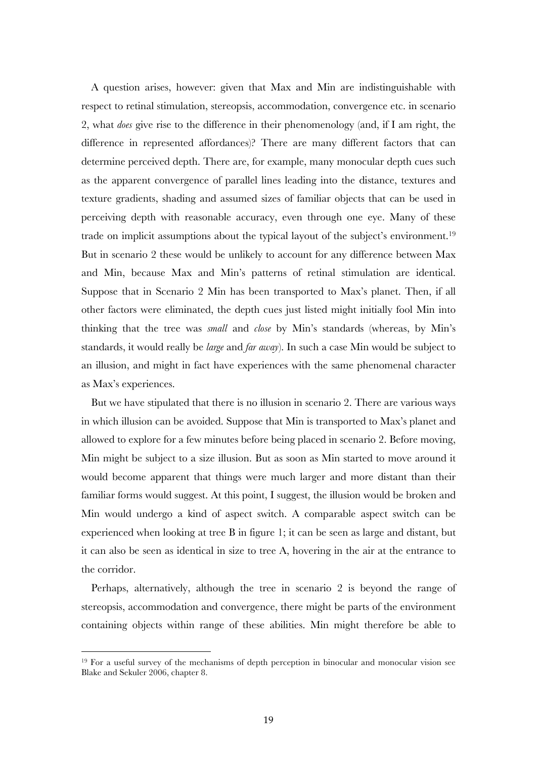A question arises, however: given that Max and Min are indistinguishable with respect to retinal stimulation, stereopsis, accommodation, convergence etc. in scenario 2, what *does* give rise to the difference in their phenomenology (and, if I am right, the difference in represented affordances)? There are many different factors that can determine perceived depth. There are, for example, many monocular depth cues such as the apparent convergence of parallel lines leading into the distance, textures and texture gradients, shading and assumed sizes of familiar objects that can be used in perceiving depth with reasonable accuracy, even through one eye. Many of these trade on implicit assumptions about the typical layout of the subject's environment.19 But in scenario 2 these would be unlikely to account for any difference between Max and Min, because Max and Min's patterns of retinal stimulation are identical. Suppose that in Scenario 2 Min has been transported to Max's planet. Then, if all other factors were eliminated, the depth cues just listed might initially fool Min into thinking that the tree was *small* and *close* by Min's standards (whereas, by Min's standards, it would really be *large* and *far away*). In such a case Min would be subject to an illusion, and might in fact have experiences with the same phenomenal character as Max's experiences.

But we have stipulated that there is no illusion in scenario 2. There are various ways in which illusion can be avoided. Suppose that Min is transported to Max's planet and allowed to explore for a few minutes before being placed in scenario 2. Before moving, Min might be subject to a size illusion. But as soon as Min started to move around it would become apparent that things were much larger and more distant than their familiar forms would suggest. At this point, I suggest, the illusion would be broken and Min would undergo a kind of aspect switch. A comparable aspect switch can be experienced when looking at tree B in figure 1; it can be seen as large and distant, but it can also be seen as identical in size to tree A, hovering in the air at the entrance to the corridor.

Perhaps, alternatively, although the tree in scenario 2 is beyond the range of stereopsis, accommodation and convergence, there might be parts of the environment containing objects within range of these abilities. Min might therefore be able to

l

<sup>&</sup>lt;sup>19</sup> For a useful survey of the mechanisms of depth perception in binocular and monocular vision see Blake and Sekuler 2006, chapter 8.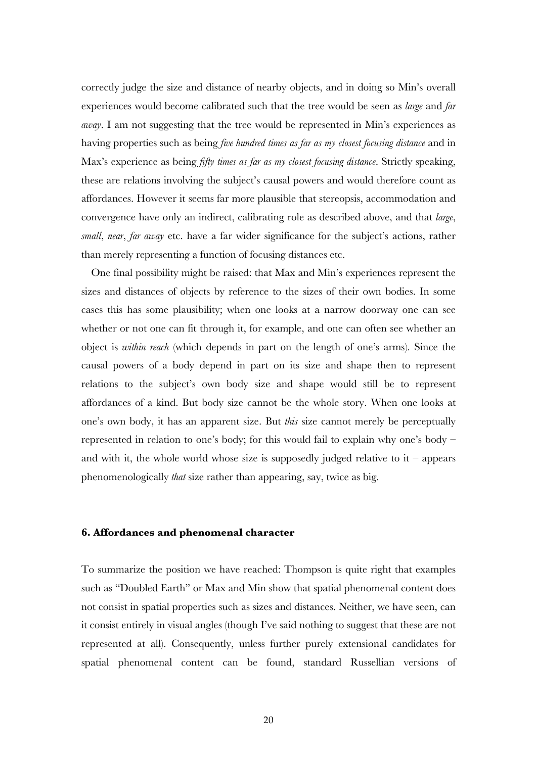correctly judge the size and distance of nearby objects, and in doing so Min's overall experiences would become calibrated such that the tree would be seen as *large* and *far away*. I am not suggesting that the tree would be represented in Min's experiences as having properties such as being *five hundred times as far as my closest focusing distance* and in Max's experience as being *fifty times as far as my closest focusing distance*. Strictly speaking, these are relations involving the subject's causal powers and would therefore count as affordances. However it seems far more plausible that stereopsis, accommodation and convergence have only an indirect, calibrating role as described above, and that *large*, *small*, *near*, *far away* etc. have a far wider significance for the subject's actions, rather than merely representing a function of focusing distances etc.

One final possibility might be raised: that Max and Min's experiences represent the sizes and distances of objects by reference to the sizes of their own bodies. In some cases this has some plausibility; when one looks at a narrow doorway one can see whether or not one can fit through it, for example, and one can often see whether an object is *within reach* (which depends in part on the length of one's arms). Since the causal powers of a body depend in part on its size and shape then to represent relations to the subject's own body size and shape would still be to represent affordances of a kind. But body size cannot be the whole story. When one looks at one's own body, it has an apparent size. But *this* size cannot merely be perceptually represented in relation to one's body; for this would fail to explain why one's body – and with it, the whole world whose size is supposedly judged relative to it – appears phenomenologically *that* size rather than appearing, say, twice as big.

### **6. Affordances and phenomenal character**

To summarize the position we have reached: Thompson is quite right that examples such as "Doubled Earth" or Max and Min show that spatial phenomenal content does not consist in spatial properties such as sizes and distances. Neither, we have seen, can it consist entirely in visual angles (though I've said nothing to suggest that these are not represented at all). Consequently, unless further purely extensional candidates for spatial phenomenal content can be found, standard Russellian versions of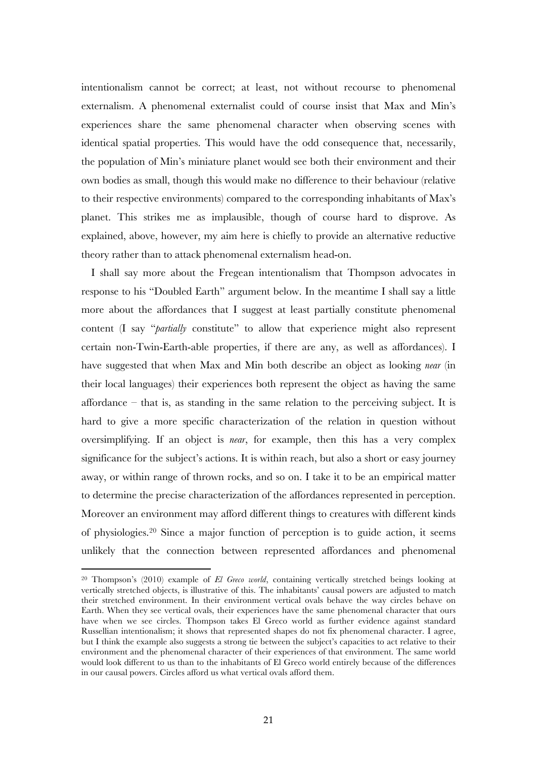intentionalism cannot be correct; at least, not without recourse to phenomenal externalism. A phenomenal externalist could of course insist that Max and Min's experiences share the same phenomenal character when observing scenes with identical spatial properties. This would have the odd consequence that, necessarily, the population of Min's miniature planet would see both their environment and their own bodies as small, though this would make no difference to their behaviour (relative to their respective environments) compared to the corresponding inhabitants of Max's planet. This strikes me as implausible, though of course hard to disprove. As explained, above, however, my aim here is chiefly to provide an alternative reductive theory rather than to attack phenomenal externalism head-on.

I shall say more about the Fregean intentionalism that Thompson advocates in response to his "Doubled Earth" argument below. In the meantime I shall say a little more about the affordances that I suggest at least partially constitute phenomenal content (I say "*partially* constitute" to allow that experience might also represent certain non-Twin-Earth-able properties, if there are any, as well as affordances). I have suggested that when Max and Min both describe an object as looking *near* (in their local languages) their experiences both represent the object as having the same affordance – that is, as standing in the same relation to the perceiving subject. It is hard to give a more specific characterization of the relation in question without oversimplifying. If an object is *near*, for example, then this has a very complex significance for the subject's actions. It is within reach, but also a short or easy journey away, or within range of thrown rocks, and so on. I take it to be an empirical matter to determine the precise characterization of the affordances represented in perception. Moreover an environment may afford different things to creatures with different kinds of physiologies.20 Since a major function of perception is to guide action, it seems unlikely that the connection between represented affordances and phenomenal

<sup>20</sup> Thompson's (2010) example of *El Greco world*, containing vertically stretched beings looking at vertically stretched objects, is illustrative of this. The inhabitants' causal powers are adjusted to match their stretched environment. In their environment vertical ovals behave the way circles behave on Earth. When they see vertical ovals, their experiences have the same phenomenal character that ours have when we see circles. Thompson takes El Greco world as further evidence against standard Russellian intentionalism; it shows that represented shapes do not fix phenomenal character. I agree, but I think the example also suggests a strong tie between the subject's capacities to act relative to their environment and the phenomenal character of their experiences of that environment. The same world would look different to us than to the inhabitants of El Greco world entirely because of the differences in our causal powers. Circles afford us what vertical ovals afford them.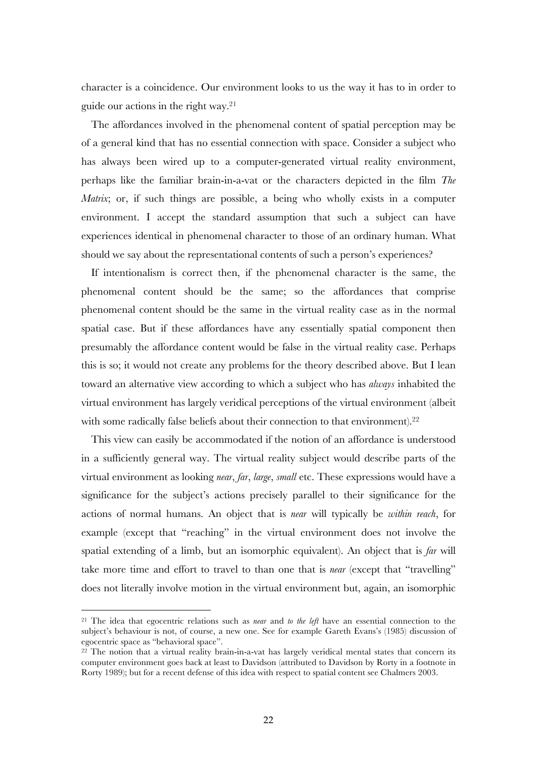character is a coincidence. Our environment looks to us the way it has to in order to guide our actions in the right way.21

The affordances involved in the phenomenal content of spatial perception may be of a general kind that has no essential connection with space. Consider a subject who has always been wired up to a computer-generated virtual reality environment, perhaps like the familiar brain-in-a-vat or the characters depicted in the film *The Matrix*; or, if such things are possible, a being who wholly exists in a computer environment. I accept the standard assumption that such a subject can have experiences identical in phenomenal character to those of an ordinary human. What should we say about the representational contents of such a person's experiences?

If intentionalism is correct then, if the phenomenal character is the same, the phenomenal content should be the same; so the affordances that comprise phenomenal content should be the same in the virtual reality case as in the normal spatial case. But if these affordances have any essentially spatial component then presumably the affordance content would be false in the virtual reality case. Perhaps this is so; it would not create any problems for the theory described above. But I lean toward an alternative view according to which a subject who has *always* inhabited the virtual environment has largely veridical perceptions of the virtual environment (albeit with some radically false beliefs about their connection to that environment).<sup>22</sup>

This view can easily be accommodated if the notion of an affordance is understood in a sufficiently general way. The virtual reality subject would describe parts of the virtual environment as looking *near*, *far*, *large*, *small* etc. These expressions would have a significance for the subject's actions precisely parallel to their significance for the actions of normal humans. An object that is *near* will typically be *within reach*, for example (except that "reaching" in the virtual environment does not involve the spatial extending of a limb, but an isomorphic equivalent). An object that is *far* will take more time and effort to travel to than one that is *near* (except that "travelling" does not literally involve motion in the virtual environment but, again, an isomorphic

<sup>21</sup> The idea that egocentric relations such as *near* and *to the left* have an essential connection to the subject's behaviour is not, of course, a new one. See for example Gareth Evans's (1985) discussion of egocentric space as "behavioral space".

<sup>&</sup>lt;sup>22</sup> The notion that a virtual reality brain-in-a-vat has largely veridical mental states that concern its computer environment goes back at least to Davidson (attributed to Davidson by Rorty in a footnote in Rorty 1989); but for a recent defense of this idea with respect to spatial content see Chalmers 2003.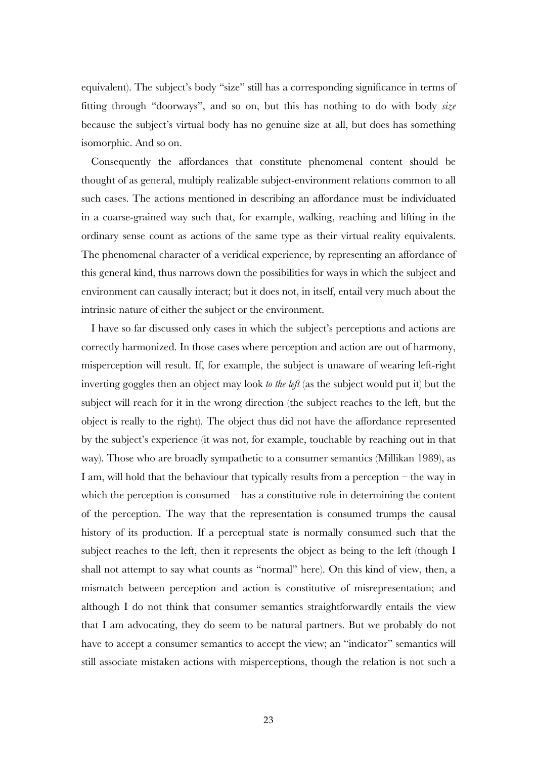equivalent). The subject's body "size" still has a corresponding significance in terms of fitting through "doorways", and so on, but this has nothing to do with body *size* because the subject's virtual body has no genuine size at all, but does has something isomorphic. And so on.

Consequently the affordances that constitute phenomenal content should be thought of as general, multiply realizable subject-environment relations common to all such cases. The actions mentioned in describing an affordance must be individuated in a coarse-grained way such that, for example, walking, reaching and lifting in the ordinary sense count as actions of the same type as their virtual reality equivalents. The phenomenal character of a veridical experience, by representing an affordance of this general kind, thus narrows down the possibilities for ways in which the subject and environment can causally interact; but it does not, in itself, entail very much about the intrinsic nature of either the subject or the environment.

I have so far discussed only cases in which the subject's perceptions and actions are correctly harmonized. In those cases where perception and action are out of harmony, misperception will result. If, for example, the subject is unaware of wearing left-right inverting goggles then an object may look *to the left* (as the subject would put it) but the subject will reach for it in the wrong direction (the subject reaches to the left, but the object is really to the right). The object thus did not have the affordance represented by the subject's experience (it was not, for example, touchable by reaching out in that way). Those who are broadly sympathetic to a consumer semantics (Millikan 1989), as I am, will hold that the behaviour that typically results from a perception – the way in which the perception is consumed – has a constitutive role in determining the content of the perception. The way that the representation is consumed trumps the causal history of its production. If a perceptual state is normally consumed such that the subject reaches to the left, then it represents the object as being to the left (though I shall not attempt to say what counts as "normal" here). On this kind of view, then, a mismatch between perception and action is constitutive of misrepresentation; and although I do not think that consumer semantics straightforwardly entails the view that I am advocating, they do seem to be natural partners. But we probably do not have to accept a consumer semantics to accept the view; an "indicator" semantics will still associate mistaken actions with misperceptions, though the relation is not such a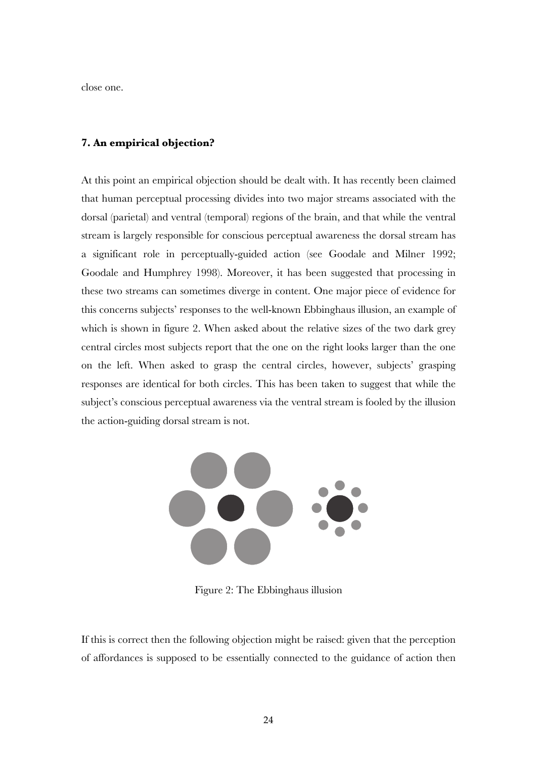close one.

### **7. An empirical objection?**

At this point an empirical objection should be dealt with. It has recently been claimed that human perceptual processing divides into two major streams associated with the dorsal (parietal) and ventral (temporal) regions of the brain, and that while the ventral stream is largely responsible for conscious perceptual awareness the dorsal stream has a significant role in perceptually-guided action (see Goodale and Milner 1992; Goodale and Humphrey 1998). Moreover, it has been suggested that processing in these two streams can sometimes diverge in content. One major piece of evidence for this concerns subjects' responses to the well-known Ebbinghaus illusion, an example of which is shown in figure 2. When asked about the relative sizes of the two dark grey central circles most subjects report that the one on the right looks larger than the one on the left. When asked to grasp the central circles, however, subjects' grasping responses are identical for both circles. This has been taken to suggest that while the subject's conscious perceptual awareness via the ventral stream is fooled by the illusion the action-guiding dorsal stream is not.



Figure 2: The Ebbinghaus illusion

If this is correct then the following objection might be raised: given that the perception of affordances is supposed to be essentially connected to the guidance of action then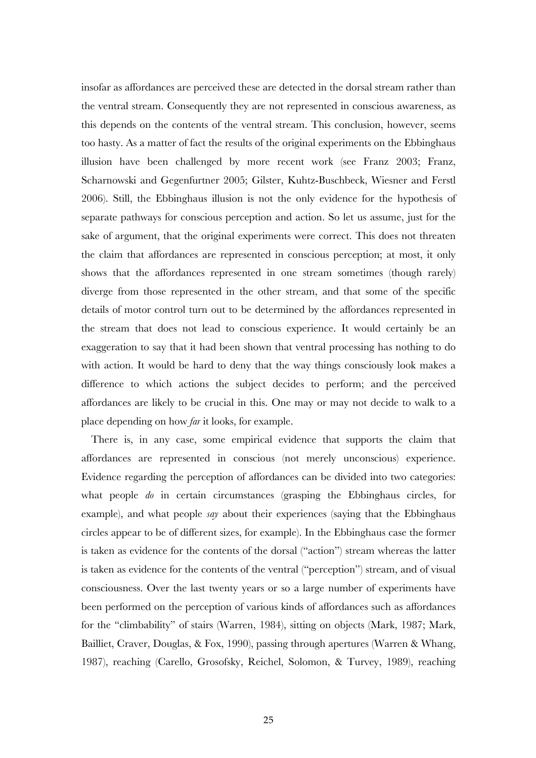insofar as affordances are perceived these are detected in the dorsal stream rather than the ventral stream. Consequently they are not represented in conscious awareness, as this depends on the contents of the ventral stream. This conclusion, however, seems too hasty. As a matter of fact the results of the original experiments on the Ebbinghaus illusion have been challenged by more recent work (see Franz 2003; Franz, Scharnowski and Gegenfurtner 2005; Gilster, Kuhtz-Buschbeck, Wiesner and Ferstl 2006). Still, the Ebbinghaus illusion is not the only evidence for the hypothesis of separate pathways for conscious perception and action. So let us assume, just for the sake of argument, that the original experiments were correct. This does not threaten the claim that affordances are represented in conscious perception; at most, it only shows that the affordances represented in one stream sometimes (though rarely) diverge from those represented in the other stream, and that some of the specific details of motor control turn out to be determined by the affordances represented in the stream that does not lead to conscious experience. It would certainly be an exaggeration to say that it had been shown that ventral processing has nothing to do with action. It would be hard to deny that the way things consciously look makes a difference to which actions the subject decides to perform; and the perceived affordances are likely to be crucial in this. One may or may not decide to walk to a place depending on how *far* it looks, for example.

There is, in any case, some empirical evidence that supports the claim that affordances are represented in conscious (not merely unconscious) experience. Evidence regarding the perception of affordances can be divided into two categories: what people *do* in certain circumstances (grasping the Ebbinghaus circles, for example), and what people *say* about their experiences (saying that the Ebbinghaus circles appear to be of different sizes, for example). In the Ebbinghaus case the former is taken as evidence for the contents of the dorsal ("action") stream whereas the latter is taken as evidence for the contents of the ventral ("perception") stream, and of visual consciousness. Over the last twenty years or so a large number of experiments have been performed on the perception of various kinds of affordances such as affordances for the "climbability" of stairs (Warren, 1984), sitting on objects (Mark, 1987; Mark, Bailliet, Craver, Douglas, & Fox, 1990), passing through apertures (Warren & Whang, 1987), reaching (Carello, Grosofsky, Reichel, Solomon, & Turvey, 1989), reaching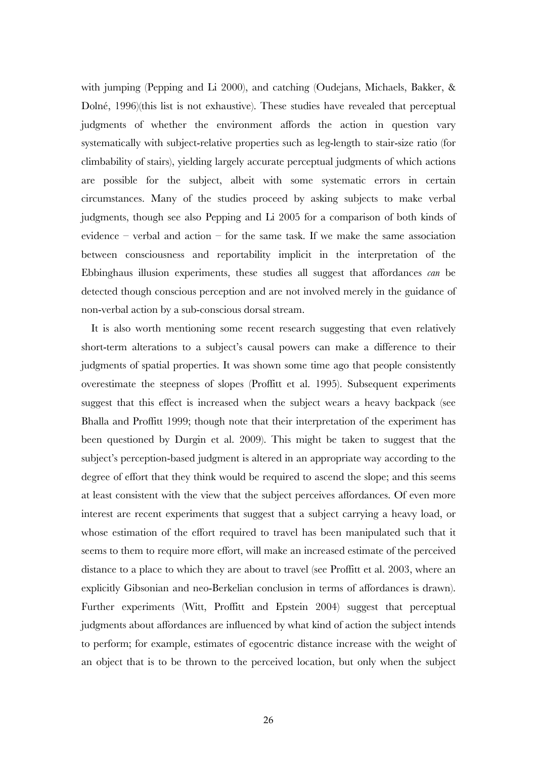with jumping (Pepping and Li 2000), and catching (Oudejans, Michaels, Bakker, & Dolné, 1996)(this list is not exhaustive). These studies have revealed that perceptual judgments of whether the environment affords the action in question vary systematically with subject-relative properties such as leg-length to stair-size ratio (for climbability of stairs), yielding largely accurate perceptual judgments of which actions are possible for the subject, albeit with some systematic errors in certain circumstances. Many of the studies proceed by asking subjects to make verbal judgments, though see also Pepping and Li 2005 for a comparison of both kinds of evidence – verbal and action – for the same task. If we make the same association between consciousness and reportability implicit in the interpretation of the Ebbinghaus illusion experiments, these studies all suggest that affordances *can* be detected though conscious perception and are not involved merely in the guidance of non-verbal action by a sub-conscious dorsal stream.

It is also worth mentioning some recent research suggesting that even relatively short-term alterations to a subject's causal powers can make a difference to their judgments of spatial properties. It was shown some time ago that people consistently overestimate the steepness of slopes (Proffitt et al. 1995). Subsequent experiments suggest that this effect is increased when the subject wears a heavy backpack (see Bhalla and Proffitt 1999; though note that their interpretation of the experiment has been questioned by Durgin et al. 2009). This might be taken to suggest that the subject's perception-based judgment is altered in an appropriate way according to the degree of effort that they think would be required to ascend the slope; and this seems at least consistent with the view that the subject perceives affordances. Of even more interest are recent experiments that suggest that a subject carrying a heavy load, or whose estimation of the effort required to travel has been manipulated such that it seems to them to require more effort, will make an increased estimate of the perceived distance to a place to which they are about to travel (see Proffitt et al. 2003, where an explicitly Gibsonian and neo-Berkelian conclusion in terms of affordances is drawn). Further experiments (Witt, Proffitt and Epstein 2004) suggest that perceptual judgments about affordances are influenced by what kind of action the subject intends to perform; for example, estimates of egocentric distance increase with the weight of an object that is to be thrown to the perceived location, but only when the subject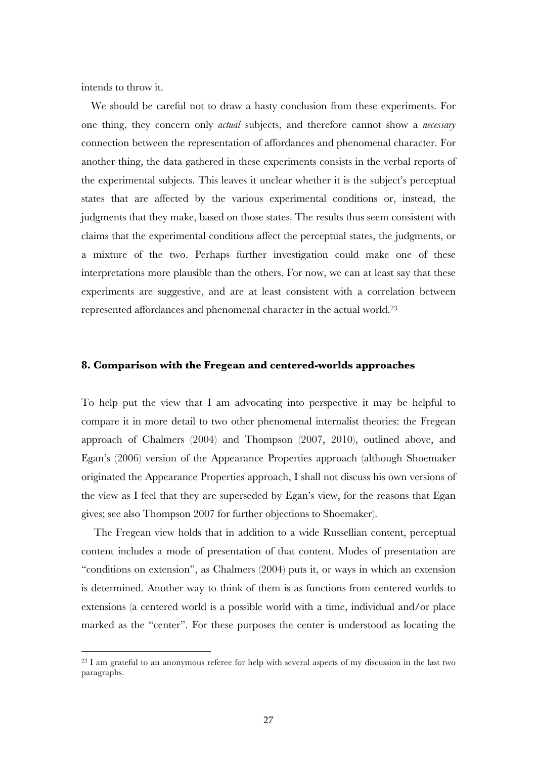intends to throw it.

l

We should be careful not to draw a hasty conclusion from these experiments. For one thing, they concern only *actual* subjects, and therefore cannot show a *necessary* connection between the representation of affordances and phenomenal character. For another thing, the data gathered in these experiments consists in the verbal reports of the experimental subjects. This leaves it unclear whether it is the subject's perceptual states that are affected by the various experimental conditions or, instead, the judgments that they make, based on those states. The results thus seem consistent with claims that the experimental conditions affect the perceptual states, the judgments, or a mixture of the two. Perhaps further investigation could make one of these interpretations more plausible than the others. For now, we can at least say that these experiments are suggestive, and are at least consistent with a correlation between represented affordances and phenomenal character in the actual world.23

## **8. Comparison with the Fregean and centered-worlds approaches**

To help put the view that I am advocating into perspective it may be helpful to compare it in more detail to two other phenomenal internalist theories: the Fregean approach of Chalmers (2004) and Thompson (2007, 2010), outlined above, and Egan's (2006) version of the Appearance Properties approach (although Shoemaker originated the Appearance Properties approach, I shall not discuss his own versions of the view as I feel that they are superseded by Egan's view, for the reasons that Egan gives; see also Thompson 2007 for further objections to Shoemaker).

The Fregean view holds that in addition to a wide Russellian content, perceptual content includes a mode of presentation of that content. Modes of presentation are "conditions on extension", as Chalmers (2004) puts it, or ways in which an extension is determined. Another way to think of them is as functions from centered worlds to extensions (a centered world is a possible world with a time, individual and/or place marked as the "center". For these purposes the center is understood as locating the

<sup>&</sup>lt;sup>23</sup> I am grateful to an anonymous referee for help with several aspects of my discussion in the last two paragraphs.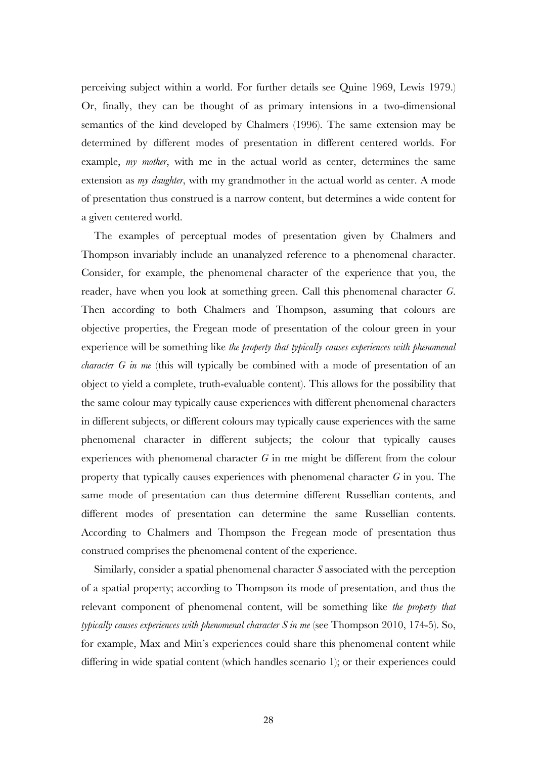perceiving subject within a world. For further details see Quine 1969, Lewis 1979.) Or, finally, they can be thought of as primary intensions in a two-dimensional semantics of the kind developed by Chalmers (1996). The same extension may be determined by different modes of presentation in different centered worlds. For example, *my mother*, with me in the actual world as center, determines the same extension as *my daughter*, with my grandmother in the actual world as center. A mode of presentation thus construed is a narrow content, but determines a wide content for a given centered world.

The examples of perceptual modes of presentation given by Chalmers and Thompson invariably include an unanalyzed reference to a phenomenal character. Consider, for example, the phenomenal character of the experience that you, the reader, have when you look at something green. Call this phenomenal character *G*. Then according to both Chalmers and Thompson, assuming that colours are objective properties, the Fregean mode of presentation of the colour green in your experience will be something like *the property that typically causes experiences with phenomenal character G in me* (this will typically be combined with a mode of presentation of an object to yield a complete, truth-evaluable content). This allows for the possibility that the same colour may typically cause experiences with different phenomenal characters in different subjects, or different colours may typically cause experiences with the same phenomenal character in different subjects; the colour that typically causes experiences with phenomenal character *G* in me might be different from the colour property that typically causes experiences with phenomenal character *G* in you. The same mode of presentation can thus determine different Russellian contents, and different modes of presentation can determine the same Russellian contents. According to Chalmers and Thompson the Fregean mode of presentation thus construed comprises the phenomenal content of the experience.

Similarly, consider a spatial phenomenal character *S* associated with the perception of a spatial property; according to Thompson its mode of presentation, and thus the relevant component of phenomenal content, will be something like *the property that typically causes experiences with phenomenal character S in me* (see Thompson 2010, 174-5). So, for example, Max and Min's experiences could share this phenomenal content while differing in wide spatial content (which handles scenario 1); or their experiences could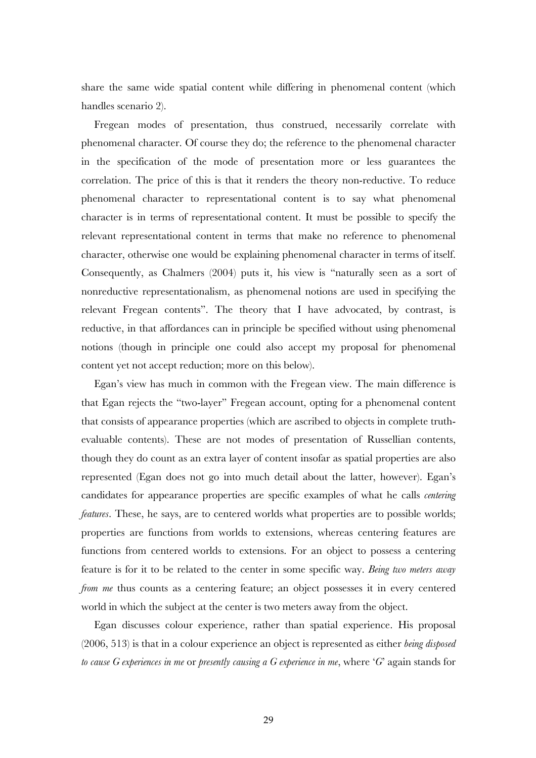share the same wide spatial content while differing in phenomenal content (which handles scenario 2).

Fregean modes of presentation, thus construed, necessarily correlate with phenomenal character. Of course they do; the reference to the phenomenal character in the specification of the mode of presentation more or less guarantees the correlation. The price of this is that it renders the theory non-reductive. To reduce phenomenal character to representational content is to say what phenomenal character is in terms of representational content. It must be possible to specify the relevant representational content in terms that make no reference to phenomenal character, otherwise one would be explaining phenomenal character in terms of itself. Consequently, as Chalmers (2004) puts it, his view is "naturally seen as a sort of nonreductive representationalism, as phenomenal notions are used in specifying the relevant Fregean contents". The theory that I have advocated, by contrast, is reductive, in that affordances can in principle be specified without using phenomenal notions (though in principle one could also accept my proposal for phenomenal content yet not accept reduction; more on this below).

Egan's view has much in common with the Fregean view. The main difference is that Egan rejects the "two-layer" Fregean account, opting for a phenomenal content that consists of appearance properties (which are ascribed to objects in complete truthevaluable contents). These are not modes of presentation of Russellian contents, though they do count as an extra layer of content insofar as spatial properties are also represented (Egan does not go into much detail about the latter, however). Egan's candidates for appearance properties are specific examples of what he calls *centering features*. These, he says, are to centered worlds what properties are to possible worlds; properties are functions from worlds to extensions, whereas centering features are functions from centered worlds to extensions. For an object to possess a centering feature is for it to be related to the center in some specific way. *Being two meters away from me* thus counts as a centering feature; an object possesses it in every centered world in which the subject at the center is two meters away from the object.

Egan discusses colour experience, rather than spatial experience. His proposal (2006, 513) is that in a colour experience an object is represented as either *being disposed to cause G experiences in me* or *presently causing a G experience in me*, where '*G*' again stands for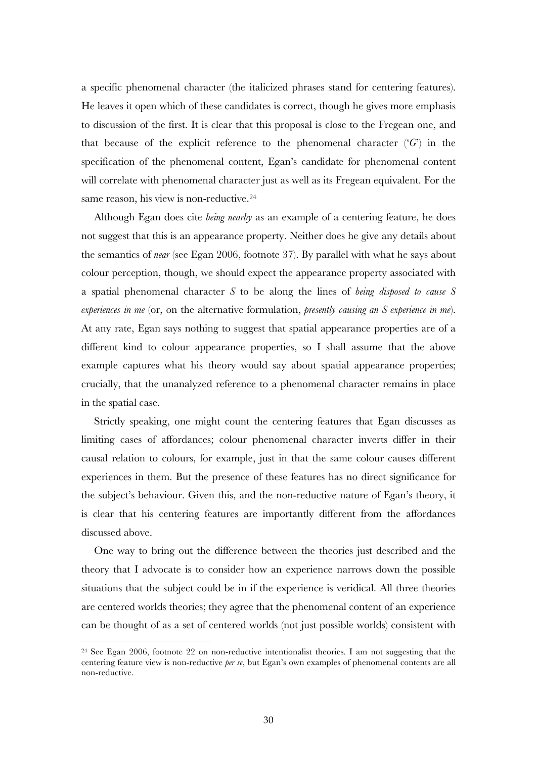a specific phenomenal character (the italicized phrases stand for centering features). He leaves it open which of these candidates is correct, though he gives more emphasis to discussion of the first. It is clear that this proposal is close to the Fregean one, and that because of the explicit reference to the phenomenal character  $(G)$  in the specification of the phenomenal content, Egan's candidate for phenomenal content will correlate with phenomenal character just as well as its Fregean equivalent. For the same reason, his view is non-reductive.<sup>24</sup>

Although Egan does cite *being nearby* as an example of a centering feature, he does not suggest that this is an appearance property. Neither does he give any details about the semantics of *near* (see Egan 2006, footnote 37). By parallel with what he says about colour perception, though, we should expect the appearance property associated with a spatial phenomenal character *S* to be along the lines of *being disposed to cause S experiences in me* (or, on the alternative formulation, *presently causing an S experience in me*). At any rate, Egan says nothing to suggest that spatial appearance properties are of a different kind to colour appearance properties, so I shall assume that the above example captures what his theory would say about spatial appearance properties; crucially, that the unanalyzed reference to a phenomenal character remains in place in the spatial case.

Strictly speaking, one might count the centering features that Egan discusses as limiting cases of affordances; colour phenomenal character inverts differ in their causal relation to colours, for example, just in that the same colour causes different experiences in them. But the presence of these features has no direct significance for the subject's behaviour. Given this, and the non-reductive nature of Egan's theory, it is clear that his centering features are importantly different from the affordances discussed above.

One way to bring out the difference between the theories just described and the theory that I advocate is to consider how an experience narrows down the possible situations that the subject could be in if the experience is veridical. All three theories are centered worlds theories; they agree that the phenomenal content of an experience can be thought of as a set of centered worlds (not just possible worlds) consistent with

<sup>24</sup> See Egan 2006, footnote 22 on non-reductive intentionalist theories. I am not suggesting that the centering feature view is non-reductive *per se*, but Egan's own examples of phenomenal contents are all non-reductive.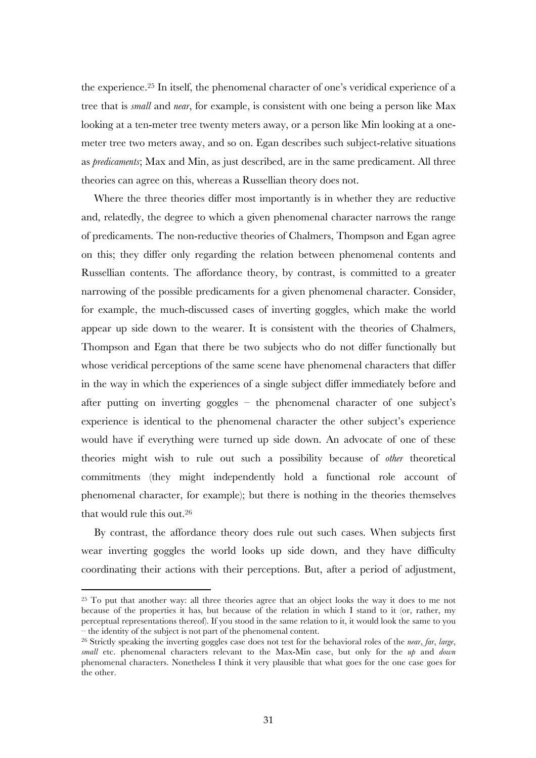the experience.25 In itself, the phenomenal character of one's veridical experience of a tree that is *small* and *near*, for example, is consistent with one being a person like Max looking at a ten-meter tree twenty meters away, or a person like Min looking at a onemeter tree two meters away, and so on. Egan describes such subject-relative situations as *predicaments*; Max and Min, as just described, are in the same predicament. All three theories can agree on this, whereas a Russellian theory does not.

Where the three theories differ most importantly is in whether they are reductive and, relatedly, the degree to which a given phenomenal character narrows the range of predicaments. The non-reductive theories of Chalmers, Thompson and Egan agree on this; they differ only regarding the relation between phenomenal contents and Russellian contents. The affordance theory, by contrast, is committed to a greater narrowing of the possible predicaments for a given phenomenal character. Consider, for example, the much-discussed cases of inverting goggles, which make the world appear up side down to the wearer. It is consistent with the theories of Chalmers, Thompson and Egan that there be two subjects who do not differ functionally but whose veridical perceptions of the same scene have phenomenal characters that differ in the way in which the experiences of a single subject differ immediately before and after putting on inverting goggles – the phenomenal character of one subject's experience is identical to the phenomenal character the other subject's experience would have if everything were turned up side down. An advocate of one of these theories might wish to rule out such a possibility because of *other* theoretical commitments (they might independently hold a functional role account of phenomenal character, for example); but there is nothing in the theories themselves that would rule this out.26

By contrast, the affordance theory does rule out such cases. When subjects first wear inverting goggles the world looks up side down, and they have difficulty coordinating their actions with their perceptions. But, after a period of adjustment,

<sup>&</sup>lt;sup>25</sup> To put that another way: all three theories agree that an object looks the way it does to me not because of the properties it has, but because of the relation in which I stand to it (or, rather, my perceptual representations thereof). If you stood in the same relation to it, it would look the same to you – the identity of the subject is not part of the phenomenal content.

<sup>26</sup> Strictly speaking the inverting goggles case does not test for the behavioral roles of the *near*, *far*, *large*, *small* etc. phenomenal characters relevant to the Max-Min case, but only for the *up* and *down* phenomenal characters. Nonetheless I think it very plausible that what goes for the one case goes for the other.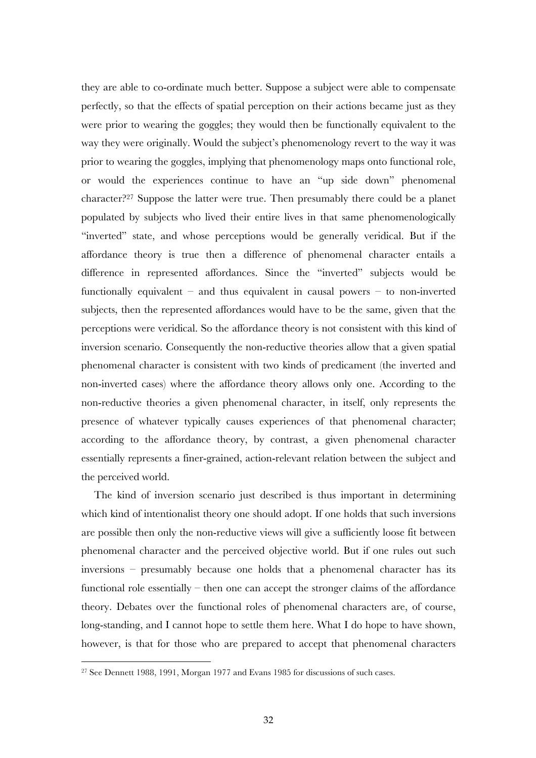they are able to co-ordinate much better. Suppose a subject were able to compensate perfectly, so that the effects of spatial perception on their actions became just as they were prior to wearing the goggles; they would then be functionally equivalent to the way they were originally. Would the subject's phenomenology revert to the way it was prior to wearing the goggles, implying that phenomenology maps onto functional role, or would the experiences continue to have an "up side down" phenomenal character?27 Suppose the latter were true. Then presumably there could be a planet populated by subjects who lived their entire lives in that same phenomenologically "inverted" state, and whose perceptions would be generally veridical. But if the affordance theory is true then a difference of phenomenal character entails a difference in represented affordances. Since the "inverted" subjects would be functionally equivalent – and thus equivalent in causal powers – to non-inverted subjects, then the represented affordances would have to be the same, given that the perceptions were veridical. So the affordance theory is not consistent with this kind of inversion scenario. Consequently the non-reductive theories allow that a given spatial phenomenal character is consistent with two kinds of predicament (the inverted and non-inverted cases) where the affordance theory allows only one. According to the non-reductive theories a given phenomenal character, in itself, only represents the presence of whatever typically causes experiences of that phenomenal character; according to the affordance theory, by contrast, a given phenomenal character essentially represents a finer-grained, action-relevant relation between the subject and the perceived world.

The kind of inversion scenario just described is thus important in determining which kind of intentionalist theory one should adopt. If one holds that such inversions are possible then only the non-reductive views will give a sufficiently loose fit between phenomenal character and the perceived objective world. But if one rules out such inversions – presumably because one holds that a phenomenal character has its functional role essentially – then one can accept the stronger claims of the affordance theory. Debates over the functional roles of phenomenal characters are, of course, long-standing, and I cannot hope to settle them here. What I do hope to have shown, however, is that for those who are prepared to accept that phenomenal characters

l

<sup>27</sup> See Dennett 1988, 1991, Morgan 1977 and Evans 1985 for discussions of such cases.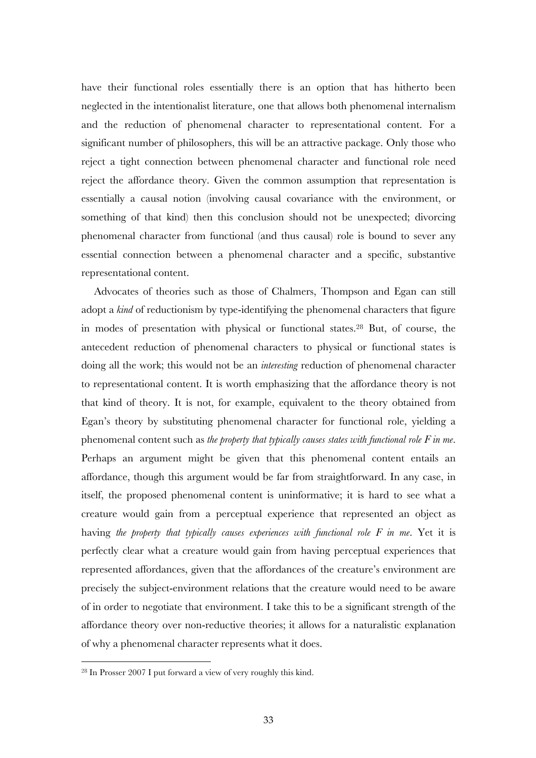have their functional roles essentially there is an option that has hitherto been neglected in the intentionalist literature, one that allows both phenomenal internalism and the reduction of phenomenal character to representational content. For a significant number of philosophers, this will be an attractive package. Only those who reject a tight connection between phenomenal character and functional role need reject the affordance theory. Given the common assumption that representation is essentially a causal notion (involving causal covariance with the environment, or something of that kind) then this conclusion should not be unexpected; divorcing phenomenal character from functional (and thus causal) role is bound to sever any essential connection between a phenomenal character and a specific, substantive representational content.

Advocates of theories such as those of Chalmers, Thompson and Egan can still adopt a *kind* of reductionism by type-identifying the phenomenal characters that figure in modes of presentation with physical or functional states.28 But, of course, the antecedent reduction of phenomenal characters to physical or functional states is doing all the work; this would not be an *interesting* reduction of phenomenal character to representational content. It is worth emphasizing that the affordance theory is not that kind of theory. It is not, for example, equivalent to the theory obtained from Egan's theory by substituting phenomenal character for functional role, yielding a phenomenal content such as *the property that typically causes states with functional role F in me*. Perhaps an argument might be given that this phenomenal content entails an affordance, though this argument would be far from straightforward. In any case, in itself, the proposed phenomenal content is uninformative; it is hard to see what a creature would gain from a perceptual experience that represented an object as having *the property that typically causes experiences with functional role F in me*. Yet it is perfectly clear what a creature would gain from having perceptual experiences that represented affordances, given that the affordances of the creature's environment are precisely the subject-environment relations that the creature would need to be aware of in order to negotiate that environment. I take this to be a significant strength of the affordance theory over non-reductive theories; it allows for a naturalistic explanation of why a phenomenal character represents what it does.

l

<sup>28</sup> In Prosser 2007 I put forward a view of very roughly this kind.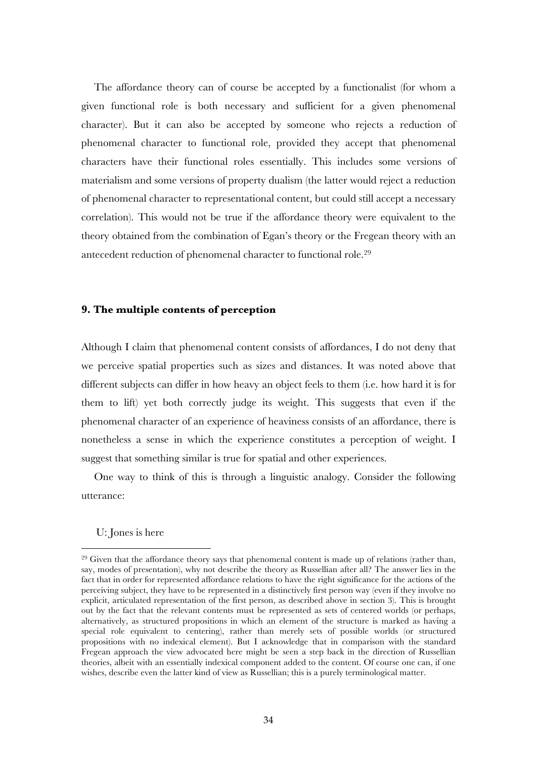The affordance theory can of course be accepted by a functionalist (for whom a given functional role is both necessary and sufficient for a given phenomenal character). But it can also be accepted by someone who rejects a reduction of phenomenal character to functional role, provided they accept that phenomenal characters have their functional roles essentially. This includes some versions of materialism and some versions of property dualism (the latter would reject a reduction of phenomenal character to representational content, but could still accept a necessary correlation). This would not be true if the affordance theory were equivalent to the theory obtained from the combination of Egan's theory or the Fregean theory with an antecedent reduction of phenomenal character to functional role.29

## **9. The multiple contents of perception**

Although I claim that phenomenal content consists of affordances, I do not deny that we perceive spatial properties such as sizes and distances. It was noted above that different subjects can differ in how heavy an object feels to them (i.e. how hard it is for them to lift) yet both correctly judge its weight. This suggests that even if the phenomenal character of an experience of heaviness consists of an affordance, there is nonetheless a sense in which the experience constitutes a perception of weight. I suggest that something similar is true for spatial and other experiences.

One way to think of this is through a linguistic analogy. Consider the following utterance:

#### U: Jones is here

<sup>29</sup> Given that the affordance theory says that phenomenal content is made up of relations (rather than, say, modes of presentation), why not describe the theory as Russellian after all? The answer lies in the fact that in order for represented affordance relations to have the right significance for the actions of the perceiving subject, they have to be represented in a distinctively first person way (even if they involve no explicit, articulated representation of the first person, as described above in section 3). This is brought out by the fact that the relevant contents must be represented as sets of centered worlds (or perhaps, alternatively, as structured propositions in which an element of the structure is marked as having a special role equivalent to centering), rather than merely sets of possible worlds (or structured propositions with no indexical element). But I acknowledge that in comparison with the standard Fregean approach the view advocated here might be seen a step back in the direction of Russellian theories, albeit with an essentially indexical component added to the content. Of course one can, if one wishes, describe even the latter kind of view as Russellian; this is a purely terminological matter.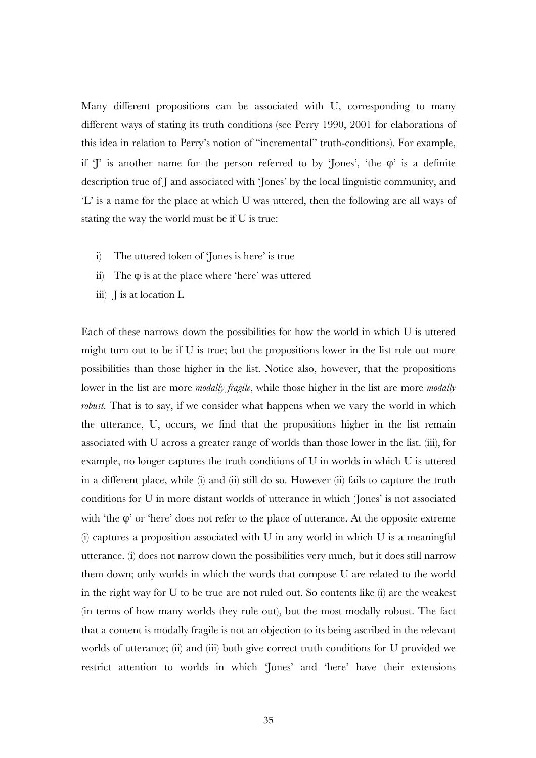Many different propositions can be associated with U, corresponding to many different ways of stating its truth conditions (see Perry 1990, 2001 for elaborations of this idea in relation to Perry's notion of "incremental" truth-conditions). For example, if ' $\Gamma$ ' is another name for the person referred to by ' $\Gamma$ ones', 'the  $\varphi$ ' is a definite description true of J and associated with 'Jones' by the local linguistic community, and 'L' is a name for the place at which U was uttered, then the following are all ways of stating the way the world must be if U is true:

- i) The uttered token of 'Jones is here' is true
- ii) The  $\varphi$  is at the place where 'here' was uttered
- iii) J is at location L

Each of these narrows down the possibilities for how the world in which U is uttered might turn out to be if U is true; but the propositions lower in the list rule out more possibilities than those higher in the list. Notice also, however, that the propositions lower in the list are more *modally fragile*, while those higher in the list are more *modally robust*. That is to say, if we consider what happens when we vary the world in which the utterance, U, occurs, we find that the propositions higher in the list remain associated with U across a greater range of worlds than those lower in the list. (iii), for example, no longer captures the truth conditions of U in worlds in which U is uttered in a different place, while (i) and (ii) still do so. However (ii) fails to capture the truth conditions for U in more distant worlds of utterance in which 'Jones' is not associated with 'the  $\varphi$ ' or 'here' does not refer to the place of utterance. At the opposite extreme (i) captures a proposition associated with U in any world in which U is a meaningful utterance. (i) does not narrow down the possibilities very much, but it does still narrow them down; only worlds in which the words that compose U are related to the world in the right way for U to be true are not ruled out. So contents like (i) are the weakest (in terms of how many worlds they rule out), but the most modally robust. The fact that a content is modally fragile is not an objection to its being ascribed in the relevant worlds of utterance; (ii) and (iii) both give correct truth conditions for U provided we restrict attention to worlds in which 'Jones' and 'here' have their extensions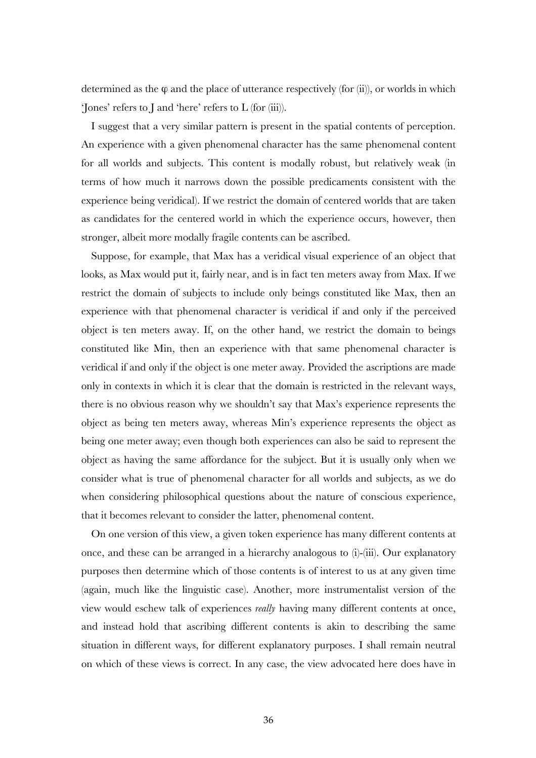determined as the  $\varphi$  and the place of utterance respectively (for (ii)), or worlds in which 'Jones' refers to J and 'here' refers to L (for (iii)).

I suggest that a very similar pattern is present in the spatial contents of perception. An experience with a given phenomenal character has the same phenomenal content for all worlds and subjects. This content is modally robust, but relatively weak (in terms of how much it narrows down the possible predicaments consistent with the experience being veridical). If we restrict the domain of centered worlds that are taken as candidates for the centered world in which the experience occurs, however, then stronger, albeit more modally fragile contents can be ascribed.

Suppose, for example, that Max has a veridical visual experience of an object that looks, as Max would put it, fairly near, and is in fact ten meters away from Max. If we restrict the domain of subjects to include only beings constituted like Max, then an experience with that phenomenal character is veridical if and only if the perceived object is ten meters away. If, on the other hand, we restrict the domain to beings constituted like Min, then an experience with that same phenomenal character is veridical if and only if the object is one meter away. Provided the ascriptions are made only in contexts in which it is clear that the domain is restricted in the relevant ways, there is no obvious reason why we shouldn't say that Max's experience represents the object as being ten meters away, whereas Min's experience represents the object as being one meter away; even though both experiences can also be said to represent the object as having the same affordance for the subject. But it is usually only when we consider what is true of phenomenal character for all worlds and subjects, as we do when considering philosophical questions about the nature of conscious experience, that it becomes relevant to consider the latter, phenomenal content.

On one version of this view, a given token experience has many different contents at once, and these can be arranged in a hierarchy analogous to (i)-(iii). Our explanatory purposes then determine which of those contents is of interest to us at any given time (again, much like the linguistic case). Another, more instrumentalist version of the view would eschew talk of experiences *really* having many different contents at once, and instead hold that ascribing different contents is akin to describing the same situation in different ways, for different explanatory purposes. I shall remain neutral on which of these views is correct. In any case, the view advocated here does have in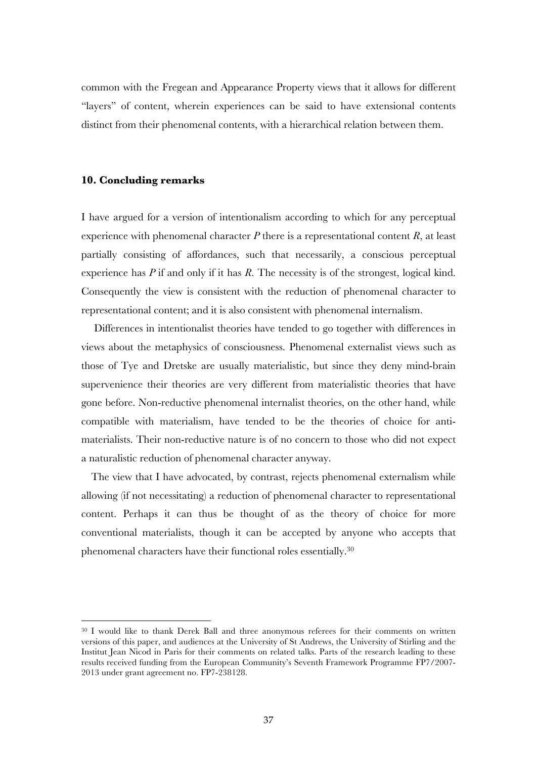common with the Fregean and Appearance Property views that it allows for different "layers" of content, wherein experiences can be said to have extensional contents distinct from their phenomenal contents, with a hierarchical relation between them.

#### **10. Concluding remarks**

 $\overline{a}$ 

I have argued for a version of intentionalism according to which for any perceptual experience with phenomenal character *P* there is a representational content *R*, at least partially consisting of affordances, such that necessarily, a conscious perceptual experience has *P* if and only if it has *R*. The necessity is of the strongest, logical kind. Consequently the view is consistent with the reduction of phenomenal character to representational content; and it is also consistent with phenomenal internalism.

Differences in intentionalist theories have tended to go together with differences in views about the metaphysics of consciousness. Phenomenal externalist views such as those of Tye and Dretske are usually materialistic, but since they deny mind-brain supervenience their theories are very different from materialistic theories that have gone before. Non-reductive phenomenal internalist theories, on the other hand, while compatible with materialism, have tended to be the theories of choice for antimaterialists. Their non-reductive nature is of no concern to those who did not expect a naturalistic reduction of phenomenal character anyway.

The view that I have advocated, by contrast, rejects phenomenal externalism while allowing (if not necessitating) a reduction of phenomenal character to representational content. Perhaps it can thus be thought of as the theory of choice for more conventional materialists, though it can be accepted by anyone who accepts that phenomenal characters have their functional roles essentially.30

<sup>&</sup>lt;sup>30</sup> I would like to thank Derek Ball and three anonymous referees for their comments on written versions of this paper, and audiences at the University of St Andrews, the University of Stirling and the Institut Jean Nicod in Paris for their comments on related talks. Parts of the research leading to these results received funding from the European Community's Seventh Framework Programme FP7/2007- 2013 under grant agreement no. FP7-238128.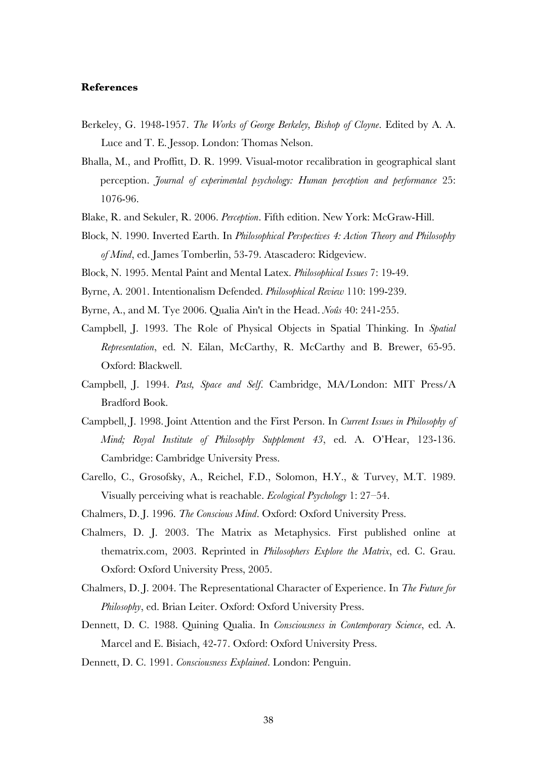### **References**

- Berkeley, G. 1948-1957. *The Works of George Berkeley, Bishop of Cloyne*. Edited by A. A. Luce and T. E. Jessop. London: Thomas Nelson.
- Bhalla, M., and Proffitt, D. R. 1999. Visual-motor recalibration in geographical slant perception. *Journal of experimental psychology: Human perception and performance* 25: 1076-96.
- Blake, R. and Sekuler, R. 2006. *Perception*. Fifth edition. New York: McGraw-Hill.
- Block, N. 1990. Inverted Earth. In *Philosophical Perspectives 4: Action Theory and Philosophy of Mind*, ed. James Tomberlin, 53-79. Atascadero: Ridgeview.
- Block, N. 1995. Mental Paint and Mental Latex. *Philosophical Issues* 7: 19-49.
- Byrne, A. 2001. Intentionalism Defended. *Philosophical Review* 110: 199-239.
- Byrne, A., and M. Tye 2006. Qualia Ain't in the Head. *Noûs* 40: 241-255.
- Campbell, J. 1993. The Role of Physical Objects in Spatial Thinking. In *Spatial Representation*, ed. N. Eilan, McCarthy, R. McCarthy and B. Brewer, 65-95. Oxford: Blackwell.
- Campbell, J. 1994. *Past, Space and Self*. Cambridge, MA/London: MIT Press/A Bradford Book.
- Campbell, J. 1998. Joint Attention and the First Person. In *Current Issues in Philosophy of Mind; Royal Institute of Philosophy Supplement 43*, ed. A. O'Hear, 123-136. Cambridge: Cambridge University Press.
- Carello, C., Grosofsky, A., Reichel, F.D., Solomon, H.Y., & Turvey, M.T. 1989. Visually perceiving what is reachable. *Ecological Psychology* 1: 27–54.
- Chalmers, D. J. 1996. *The Conscious Mind*. Oxford: Oxford University Press.
- Chalmers, D. J. 2003. The Matrix as Metaphysics. First published online at thematrix.com, 2003. Reprinted in *Philosophers Explore the Matrix*, ed. C. Grau. Oxford: Oxford University Press, 2005.
- Chalmers, D. J. 2004. The Representational Character of Experience. In *The Future for Philosophy*, ed. Brian Leiter. Oxford: Oxford University Press.
- Dennett, D. C. 1988. Quining Qualia. In *Consciousness in Contemporary Science*, ed. A. Marcel and E. Bisiach, 42-77. Oxford: Oxford University Press.
- Dennett, D. C. 1991. *Consciousness Explained*. London: Penguin.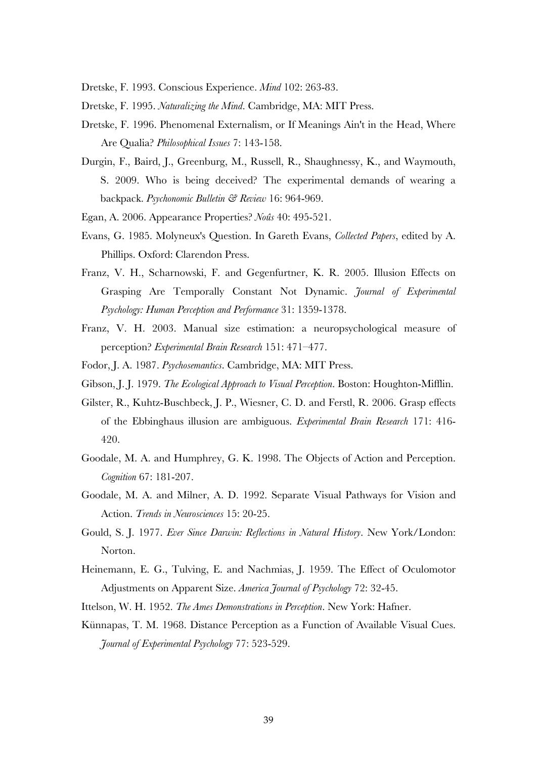Dretske, F. 1993. Conscious Experience. *Mind* 102: 263-83.

- Dretske, F. 1995. *Naturalizing the Mind*. Cambridge, MA: MIT Press.
- Dretske, F. 1996. Phenomenal Externalism, or If Meanings Ain't in the Head, Where Are Qualia? *Philosophical Issues* 7: 143-158.
- Durgin, F., Baird, J., Greenburg, M., Russell, R., Shaughnessy, K., and Waymouth, S. 2009. Who is being deceived? The experimental demands of wearing a backpack. *Psychonomic Bulletin & Review* 16: 964-969.
- Egan, A. 2006. Appearance Properties? *Noûs* 40: 495-521.
- Evans, G. 1985. Molyneux's Question. In Gareth Evans, *Collected Papers*, edited by A. Phillips. Oxford: Clarendon Press.
- Franz, V. H., Scharnowski, F. and Gegenfurtner, K. R. 2005. Illusion Effects on Grasping Are Temporally Constant Not Dynamic. *Journal of Experimental Psychology: Human Perception and Performance* 31: 1359-1378.
- Franz, V. H. 2003. Manual size estimation: a neuropsychological measure of perception? *Experimental Brain Research* 151: 471–477.
- Fodor, J. A. 1987. *Psychosemantics*. Cambridge, MA: MIT Press.
- Gibson, J. J. 1979. *The Ecological Approach to Visual Perception*. Boston: Houghton-Mifflin.
- Gilster, R., Kuhtz-Buschbeck, J. P., Wiesner, C. D. and Ferstl, R. 2006. Grasp effects of the Ebbinghaus illusion are ambiguous. *Experimental Brain Research* 171: 416- 420.
- Goodale, M. A. and Humphrey, G. K. 1998. The Objects of Action and Perception. *Cognition* 67: 181-207.
- Goodale, M. A. and Milner, A. D. 1992. Separate Visual Pathways for Vision and Action. *Trends in Neurosciences* 15: 20-25.
- Gould, S. J. 1977. *Ever Since Darwin: Reflections in Natural History*. New York/London: Norton.
- Heinemann, E. G., Tulving, E. and Nachmias, J. 1959. The Effect of Oculomotor Adjustments on Apparent Size. *America Journal of Psychology* 72: 32-45.
- Ittelson, W. H. 1952. *The Ames Demonstrations in Perception*. New York: Hafner.
- Künnapas, T. M. 1968. Distance Perception as a Function of Available Visual Cues. *Journal of Experimental Psychology* 77: 523-529.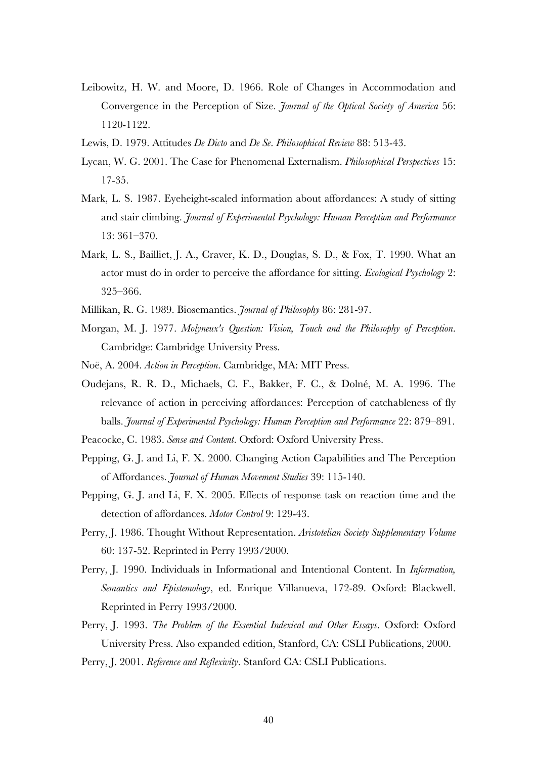- Leibowitz, H. W. and Moore, D. 1966. Role of Changes in Accommodation and Convergence in the Perception of Size. *Journal of the Optical Society of America* 56: 1120-1122.
- Lewis, D. 1979. Attitudes *De Dicto* and *De Se*. *Philosophical Review* 88: 513-43.
- Lycan, W. G. 2001. The Case for Phenomenal Externalism. *Philosophical Perspectives* 15: 17-35.
- Mark, L. S. 1987. Eyeheight-scaled information about affordances: A study of sitting and stair climbing. *Journal of Experimental Psychology: Human Perception and Performance* 13: 361–370.
- Mark, L. S., Bailliet, J. A., Craver, K. D., Douglas, S. D., & Fox, T. 1990. What an actor must do in order to perceive the affordance for sitting. *Ecological Psychology* 2: 325–366.
- Millikan, R. G. 1989. Biosemantics. *Journal of Philosophy* 86: 281-97.
- Morgan, M. J. 1977. *Molyneux's Question: Vision, Touch and the Philosophy of Perception*. Cambridge: Cambridge University Press.
- Noë, A. 2004. *Action in Perception*. Cambridge, MA: MIT Press.
- Oudejans, R. R. D., Michaels, C. F., Bakker, F. C., & Dolné, M. A. 1996. The relevance of action in perceiving affordances: Perception of catchableness of fly balls. *Journal of Experimental Psychology: Human Perception and Performance* 22: 879–891.
- Peacocke, C. 1983. *Sense and Content*. Oxford: Oxford University Press.
- Pepping, G. J. and Li, F. X. 2000. Changing Action Capabilities and The Perception of Affordances. *Journal of Human Movement Studies* 39: 115-140.
- Pepping, G. J. and Li, F. X. 2005. Effects of response task on reaction time and the detection of affordances. *Motor Control* 9: 129-43.
- Perry, J. 1986. Thought Without Representation. *Aristotelian Society Supplementary Volume* 60: 137-52. Reprinted in Perry 1993/2000.
- Perry, J. 1990. Individuals in Informational and Intentional Content. In *Information, Semantics and Epistemology*, ed. Enrique Villanueva, 172-89. Oxford: Blackwell. Reprinted in Perry 1993/2000.
- Perry, J. 1993. *The Problem of the Essential Indexical and Other Essays*. Oxford: Oxford University Press. Also expanded edition, Stanford, CA: CSLI Publications, 2000.
- Perry, J. 2001. *Reference and Reflexivity*. Stanford CA: CSLI Publications.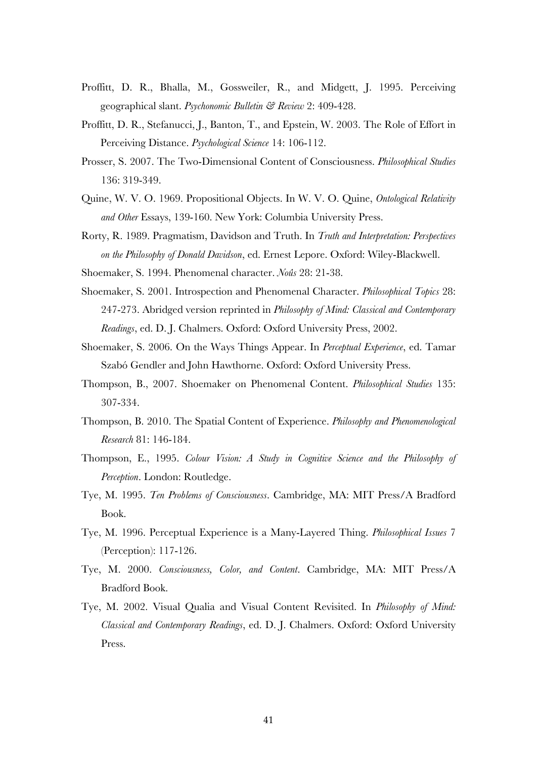- Proffitt, D. R., Bhalla, M., Gossweiler, R., and Midgett, J. 1995. Perceiving geographical slant. *Psychonomic Bulletin & Review* 2: 409-428.
- Proffitt, D. R., Stefanucci, J., Banton, T., and Epstein, W. 2003. The Role of Effort in Perceiving Distance. *Psychological Science* 14: 106-112.
- Prosser, S. 2007. The Two-Dimensional Content of Consciousness. *Philosophical Studies* 136: 319-349.
- Quine, W. V. O. 1969. Propositional Objects. In W. V. O. Quine, *Ontological Relativity and Other* Essays, 139-160. New York: Columbia University Press.
- Rorty, R. 1989. Pragmatism, Davidson and Truth. In *Truth and Interpretation: Perspectives on the Philosophy of Donald Davidson*, ed. Ernest Lepore. Oxford: Wiley-Blackwell.
- Shoemaker, S. 1994. Phenomenal character. *Noûs* 28: 21-38.
- Shoemaker, S. 2001. Introspection and Phenomenal Character. *Philosophical Topics* 28: 247-273. Abridged version reprinted in *Philosophy of Mind: Classical and Contemporary Readings*, ed. D. J. Chalmers. Oxford: Oxford University Press, 2002.
- Shoemaker, S. 2006. On the Ways Things Appear. In *Perceptual Experience*, ed. Tamar Szabó Gendler and John Hawthorne. Oxford: Oxford University Press.
- Thompson, B., 2007. Shoemaker on Phenomenal Content. *Philosophical Studies* 135: 307-334.
- Thompson, B. 2010. The Spatial Content of Experience. *Philosophy and Phenomenological Research* 81: 146-184.
- Thompson, E., 1995. *Colour Vision: A Study in Cognitive Science and the Philosophy of Perception*. London: Routledge.
- Tye, M. 1995. *Ten Problems of Consciousness*. Cambridge, MA: MIT Press/A Bradford Book.
- Tye, M. 1996. Perceptual Experience is a Many-Layered Thing. *Philosophical Issues* 7 (Perception): 117-126.
- Tye, M. 2000. *Consciousness, Color, and Content*. Cambridge, MA: MIT Press/A Bradford Book.
- Tye, M. 2002. Visual Qualia and Visual Content Revisited. In *Philosophy of Mind: Classical and Contemporary Readings*, ed. D. J. Chalmers. Oxford: Oxford University Press.